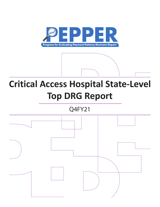

# **Critical Access Hospital State-Level Top DRG Report**

Q4FY21

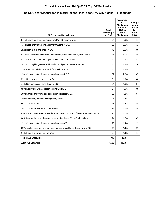# **Critical Access Hospital Q4FY21 Top DRGs Alaska 1**

# **Top DRGs for Discharges in Most Recent Fiscal Year, FY2021, Alaska, 13 Hospitals**

| <b>DRG code and Description</b>                                                       | <b>Total</b><br><b>Discharges</b><br>for DRG | Proportion<br>οf<br><b>Discharges</b><br>for Each<br>DRG to<br><b>Total</b><br><b>Discharges</b> | Average<br>Length<br>of Stay<br>for<br>Each<br><b>DRG</b> |
|---------------------------------------------------------------------------------------|----------------------------------------------|--------------------------------------------------------------------------------------------------|-----------------------------------------------------------|
| 871 : Septicemia or severe sepsis w/o MV >96 hours w MCC                              | 94                                           | 5.9%                                                                                             | 4.7                                                       |
| 177 : Respiratory infections and inflammations w MCC                                  | 88                                           | 5.5%                                                                                             | 5.3                                                       |
| 292 : Heart failure and shock w CC                                                    | 48                                           | 3.0%                                                                                             | 3.6                                                       |
| 641 : Misc disorders of nutrition, metabolism, fluids and electrolytes w/o MCC        | 48                                           | 3.0%                                                                                             | 3.8                                                       |
| 872 : Septicemia or severe sepsis w/o MV >96 hours w/o MCC                            | 47                                           | 2.9%                                                                                             | 3.7                                                       |
| 392 : Esophagitis, gastroenteritis and misc digestive disorders w/o MCC               | 34                                           | 2.1%                                                                                             | 2.6                                                       |
| 178 : Respiratory infections and inflammations w CC                                   | 33                                           | 2.1%                                                                                             | 5                                                         |
| 190 : Chronic obstructive pulmonary disease w MCC                                     | 32                                           | 2.0%                                                                                             | 3.5                                                       |
| 291 : Heart failure and shock w MCC                                                   | 31                                           | 1.9%                                                                                             | 3.8                                                       |
| 378 : Gastrointestinal hemorrhage w CC                                                | 31                                           | 1.9%                                                                                             | 3.4                                                       |
| 690 : Kidney and urinary tract infections w/o MCC                                     | 31                                           | 1.9%                                                                                             | 3.8                                                       |
| 309 : Cardiac arrhythmia and conduction disorders w CC                                | 29                                           | 1.8%                                                                                             | 3.1                                                       |
| 189 : Pulmonary edema and respiratory failure                                         | 28                                           | 1.8%                                                                                             | 5.3                                                       |
| 603 : Cellulitis w/o MCC                                                              | 28                                           | 1.8%                                                                                             | 3.8                                                       |
| 194 : Simple pneumonia and pleurisy w CC                                              | 27                                           | 1.7%                                                                                             | 4.9                                                       |
| 470 : Major hip and knee joint replacement or reattachment of lower extremity w/o MCC | 25                                           | 1.6%                                                                                             | 3                                                         |
| 065 : Intracranial hemorrhage or cerebral infarction w CC or tPA in 24 hours          | 24                                           | 1.5%                                                                                             | 3.2                                                       |
| 191 : Chronic obstructive pulmonary disease w CC                                      | 23                                           | 1.4%                                                                                             | 2.9                                                       |
| 897 : Alcohol, drug abuse or dependence w/o rehabilitation therapy w/o MCC            | 23                                           | 1.4%                                                                                             | 2.7                                                       |
| 948 : Signs and symptoms w/o MCC                                                      | 23                                           | 1.4%                                                                                             | 4.7                                                       |
| <b>Top DRGs Statewide</b>                                                             | 747                                          | 46.8%                                                                                            | 4                                                         |
| <b>All DRGs Statewide</b>                                                             | 1,596                                        | 100.0%                                                                                           | 4                                                         |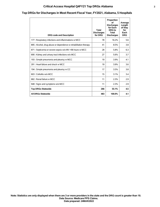### **Critical Access Hospital Q4FY21 Top DRGs Alabama 2**

# **Top DRGs for Discharges in Most Recent Fiscal Year, FY2021, Alabama, 5 Hospitals**

| <b>DRG code and Description</b>                                  | Total<br><b>Discharges</b><br>for DRG | Proportion<br>οf<br><b>Discharges</b><br>for Each<br>DRG to<br>Total<br><b>Discharges</b> | Average<br>Length<br>of Stay<br>for<br>Each<br><b>DRG</b> |
|------------------------------------------------------------------|---------------------------------------|-------------------------------------------------------------------------------------------|-----------------------------------------------------------|
| 177 : Respiratory infections and inflammations w MCC             | 78                                    | 16.2%                                                                                     | 5.6                                                       |
| 895 : Alcohol, drug abuse or dependence w rehabilitation therapy | 41                                    | 8.5%                                                                                      | 3.8                                                       |
| 871 : Septicemia or severe sepsis w/o MV >96 hours w MCC         | 28                                    | 5.8%                                                                                      | 6.3                                                       |
| 690 : Kidney and urinary tract infections w/o MCC                | 27                                    | 5.6%                                                                                      | 3.7                                                       |
| 193 : Simple pneumonia and pleurisy w MCC                        | 19                                    | 3.9%                                                                                      | 4.1                                                       |
| 291 : Heart failure and shock w MCC                              | 19                                    | 3.9%                                                                                      | 3.6                                                       |
| 194 : Simple pneumonia and pleurisy w CC                         | 17                                    | 3.5%                                                                                      | 3.8                                                       |
| 603 : Cellulitis w/o MCC                                         | 15                                    | 3.1%                                                                                      | 3.4                                                       |
| 682 : Renal failure w MCC                                        | 11                                    | 2.3%                                                                                      | 2.9                                                       |
| 948 : Signs and symptoms w/o MCC                                 | 11                                    | 2.3%                                                                                      | 2.9                                                       |
| <b>Top DRGs Statewide</b>                                        | 266                                   | 55.1%                                                                                     | 4.5                                                       |
| <b>All DRGs Statewide</b>                                        | 483                                   | 100.0%                                                                                    | 4.1                                                       |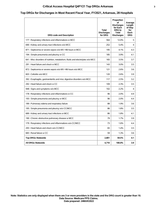## **Critical Access Hospital Q4FY21 Top DRGs Arkansas 3**

# **Top DRGs for Discharges in Most Recent Fiscal Year, FY2021, Arkansas, 28 Hospitals**

| <b>DRG code and Description</b>                                                | Total<br><b>Discharges</b><br>for DRG | Proportion<br>οf<br><b>Discharges</b><br>for Each<br>DRG to<br>Total<br><b>Discharges</b> | Average<br>Length<br>of Stay<br>for<br>Each<br><b>DRG</b> |
|--------------------------------------------------------------------------------|---------------------------------------|-------------------------------------------------------------------------------------------|-----------------------------------------------------------|
| 177 : Respiratory infections and inflammations w MCC                           | 564                                   | 12.0%                                                                                     | 5                                                         |
| 690 : Kidney and urinary tract infections w/o MCC                              | 252                                   | 5.4%                                                                                      | 4                                                         |
| 871 : Septicemia or severe sepsis w/o MV >96 hours w MCC                       | 195                                   | 4.1%                                                                                      | 4.3                                                       |
| 194 : Simple pneumonia and pleurisy w CC                                       | 185                                   | 3.9%                                                                                      | 4.1                                                       |
| 641 : Misc disorders of nutrition, metabolism, fluids and electrolytes w/o MCC | 165                                   | 3.5%                                                                                      | 3.7                                                       |
| 291 : Heart failure and shock w MCC                                            | 143                                   | 3.0%                                                                                      | 3.5                                                       |
| 872 : Septicemia or severe sepsis w/o MV >96 hours w/o MCC                     | 121                                   | 2.6%                                                                                      | 3.6                                                       |
| 603 : Cellulitis w/o MCC                                                       | 120                                   | 2.6%                                                                                      | 3.9                                                       |
| 392 : Esophagitis, gastroenteritis and misc digestive disorders w/o MCC        | 117                                   | 2.5%                                                                                      | 3.2                                                       |
| 292 : Heart failure and shock w CC                                             | 109                                   | 2.3%                                                                                      | 3.5                                                       |
| 948 : Signs and symptoms w/o MCC                                               | 102                                   | 2.2%                                                                                      | 4                                                         |
| 178 : Respiratory infections and inflammations w CC                            | 96                                    | 2.0%                                                                                      | 4.9                                                       |
| 193 : Simple pneumonia and pleurisy w MCC                                      | 96                                    | 2.0%                                                                                      | 4.4                                                       |
| 189 : Pulmonary edema and respiratory failure                                  | 88                                    | 1.9%                                                                                      | 3.6                                                       |
| 195 : Simple pneumonia and pleurisy w/o CC/MCC                                 | 86                                    | 1.8%                                                                                      | 3.5                                                       |
| 689 : Kidney and urinary tract infections w MCC                                | 86                                    | 1.8%                                                                                      | 4.1                                                       |
| 190 : Chronic obstructive pulmonary disease w MCC                              | 79                                    | 1.7%                                                                                      | 3.9                                                       |
| 179 : Respiratory infections and inflammations w/o CC/MCC                      | 73                                    | 1.6%                                                                                      | 4.4                                                       |
| 293 : Heart failure and shock w/o CC/MCC                                       | 65                                    | 1.4%                                                                                      | 3.5                                                       |
| 683 : Renal failure w CC                                                       | 59                                    | 1.3%                                                                                      | 3.6                                                       |
| <b>Top DRGs Statewide</b>                                                      | 2,801                                 | 59.5%                                                                                     | 4.1                                                       |
| <b>All DRGs Statewide</b>                                                      | 4,710                                 | 100.0%                                                                                    | 3.9                                                       |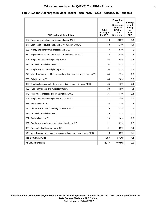## **Critical Access Hospital Q4FY21 Top DRGs Arizona 4**

#### **Top DRGs for Discharges in Most Recent Fiscal Year, FY2021, Arizona, 15 Hospitals**

| <b>DRG code and Description</b>                                                | Total<br><b>Discharges</b><br>for DRG | Proportion<br>οf<br><b>Discharges</b><br>for Each<br><b>DRG</b> to<br><b>Total</b><br><b>Discharges</b> | Average<br>Length<br>of Stay<br>for<br>Each<br><b>DRG</b> |
|--------------------------------------------------------------------------------|---------------------------------------|---------------------------------------------------------------------------------------------------------|-----------------------------------------------------------|
|                                                                                |                                       |                                                                                                         |                                                           |
| 177 : Respiratory infections and inflammations w MCC                           | 448                                   | 20.0%                                                                                                   | 5.4                                                       |
| 871 : Septicemia or severe sepsis w/o MV >96 hours w MCC                       | 143                                   | 6.4%                                                                                                    | 4.4                                                       |
| 690 : Kidney and urinary tract infections w/o MCC                              | 77                                    | 3.4%                                                                                                    | 3                                                         |
| 872 : Septicemia or severe sepsis w/o MV >96 hours w/o MCC                     | 74                                    | 3.3%                                                                                                    | 3                                                         |
| 193 : Simple pneumonia and pleurisy w MCC                                      | 63                                    | 2.8%                                                                                                    | 3.8                                                       |
| 291 : Heart failure and shock w MCC                                            | 52                                    | 2.3%                                                                                                    | 3.5                                                       |
| 194 : Simple pneumonia and pleurisy w CC                                       | 50                                    | 2.2%                                                                                                    | 3.4                                                       |
| 641 : Misc disorders of nutrition, metabolism, fluids and electrolytes w/o MCC | 49                                    | 2.2%                                                                                                    | 2.7                                                       |
| 603 : Cellulitis w/o MCC                                                       | 44                                    | 2.0%                                                                                                    | 3.2                                                       |
| 392 : Esophagitis, gastroenteritis and misc digestive disorders w/o MCC        | 36                                    | 1.6%                                                                                                    | 2.1                                                       |
| 189 : Pulmonary edema and respiratory failure                                  | 33                                    | 1.5%                                                                                                    | 4.1                                                       |
| 178 : Respiratory infections and inflammations w CC                            | 31                                    | 1.4%                                                                                                    | 3.1                                                       |
| 195 : Simple pneumonia and pleurisy w/o CC/MCC                                 | 31                                    | 1.4%                                                                                                    | 3.2                                                       |
| 683 : Renal failure w CC                                                       | 28                                    | 1.3%                                                                                                    | 3                                                         |
| 190 : Chronic obstructive pulmonary disease w MCC                              | 25                                    | 1.1%                                                                                                    | 2.4                                                       |
| 292 : Heart failure and shock w CC                                             | 25                                    | 1.1%                                                                                                    | 3.6                                                       |
| 682 : Renal failure w MCC                                                      | 23                                    | 1.0%                                                                                                    | 2.9                                                       |
| 309 : Cardiac arrhythmia and conduction disorders w CC                         | 21                                    | 0.9%                                                                                                    | 2.8                                                       |
| 378 : Gastrointestinal hemorrhage w CC                                         | 21                                    | 0.9%                                                                                                    | 3.1                                                       |
| 640 : Misc disorders of nutrition, metabolism, fluids and electrolytes w MCC   | 19                                    | 0.9%                                                                                                    | 3.6                                                       |
| <b>Top DRGs Statewide</b>                                                      | 1,293                                 | 57.7%                                                                                                   | 4.1                                                       |
| <b>All DRGs Statewide</b>                                                      | 2,243                                 | 100.0%                                                                                                  | 3.9                                                       |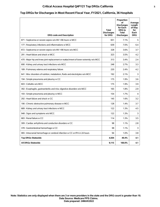## **Critical Access Hospital Q4FY21 Top DRGs California 5**

#### **Top DRGs for Discharges in Most Recent Fiscal Year, FY2021, California, 36 Hospitals**

| <b>DRG code and Description</b>                                                       | Total<br><b>Discharges</b><br>for DRG | Proportion<br>οf<br><b>Discharges</b><br>for Each<br><b>DRG</b> to<br><b>Total</b><br><b>Discharges</b> | Average<br>Lenath<br>of Stay<br>for<br>Each<br><b>DRG</b> |
|---------------------------------------------------------------------------------------|---------------------------------------|---------------------------------------------------------------------------------------------------------|-----------------------------------------------------------|
| 871 : Septicemia or severe sepsis w/o MV >96 hours w MCC                              | 651                                   | 7.1%                                                                                                    | 5                                                         |
| 177 : Respiratory infections and inflammations w MCC                                  | 639                                   | 7.0%                                                                                                    | 6.4                                                       |
| 872 : Septicemia or severe sepsis w/o MV >96 hours w/o MCC                            | 328                                   | 3.6%                                                                                                    | 3.7                                                       |
| 291 : Heart failure and shock w MCC                                                   | 323                                   | 3.5%                                                                                                    | 4.2                                                       |
| 470 : Major hip and knee joint replacement or reattachment of lower extremity w/o MCC | 313                                   | 3.4%                                                                                                    | 2.4                                                       |
| 690 : Kidney and urinary tract infections w/o MCC                                     | 248                                   | 2.7%                                                                                                    | 3.3                                                       |
| 189 : Pulmonary edema and respiratory failure                                         | 220                                   | 2.4%                                                                                                    | 4.2                                                       |
| 641 : Misc disorders of nutrition, metabolism, fluids and electrolytes w/o MCC        | 192                                   | 2.1%                                                                                                    | 3                                                         |
| 194 : Simple pneumonia and pleurisy w CC                                              | 175                                   | 1.9%                                                                                                    | 3.6                                                       |
| 603 : Cellulitis w/o MCC                                                              | 175                                   | 1.9%                                                                                                    | 3.9                                                       |
| 392 : Esophagitis, gastroenteritis and misc digestive disorders w/o MCC               | 165                                   | 1.8%                                                                                                    | 2.9                                                       |
| 193 : Simple pneumonia and pleurisy w MCC                                             | 154                                   | 1.7%                                                                                                    | 4                                                         |
| 292 : Heart failure and shock w CC                                                    | 145                                   | 1.6%                                                                                                    | 3.2                                                       |
| 190 : Chronic obstructive pulmonary disease w MCC                                     | 128                                   | 1.4%                                                                                                    | 3.7                                                       |
| 689 : Kidney and urinary tract infections w MCC                                       | 122                                   | 1.3%                                                                                                    | 4.5                                                       |
| 948 : Signs and symptoms w/o MCC                                                      | 122                                   | 1.3%                                                                                                    | 3                                                         |
| 683 : Renal failure w CC                                                              | 114                                   | 1.3%                                                                                                    | 3.5                                                       |
| 309 : Cardiac arrhythmia and conduction disorders w CC                                | 98                                    | 1.1%                                                                                                    | 2.8                                                       |
| 378 : Gastrointestinal hemorrhage w CC                                                | 98                                    | 1.1%                                                                                                    | 3                                                         |
| 065 : Intracranial hemorrhage or cerebral infarction w CC or tPA in 24 hours          | 94                                    | 1.0%                                                                                                    | 3.8                                                       |
| <b>Top DRGs Statewide</b>                                                             | 4,504                                 | 49.4%                                                                                                   | 4.1                                                       |
| <b>All DRGs Statewide</b>                                                             | 9,115                                 | 100.0%                                                                                                  | 4.1                                                       |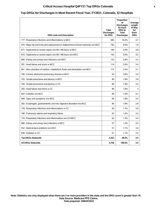## **Critical Access Hospital Q4FY21 Top DRGs Colorado 6**

## **Top DRGs for Discharges in Most Recent Fiscal Year, FY2021, Colorado, 32 Hospitals**

| <b>DRG code and Description</b>                                                       | <b>Total</b><br><b>Discharges</b><br>for DRG | Proportion<br>οf<br><b>Discharges</b><br>for Each<br><b>DRG</b> to<br><b>Total</b><br><b>Discharges</b> | Average<br>Length<br>of Stay<br>for<br>Each<br><b>DRG</b> |
|---------------------------------------------------------------------------------------|----------------------------------------------|---------------------------------------------------------------------------------------------------------|-----------------------------------------------------------|
| 177 : Respiratory infections and inflammations w MCC                                  | 485                                          | 10.2%                                                                                                   | 4.7                                                       |
| 470 : Major hip and knee joint replacement or reattachment of lower extremity w/o MCC | 192                                          | 4.0%                                                                                                    | 1.9                                                       |
| 871 : Septicemia or severe sepsis w/o MV >96 hours w MCC                              | 184                                          | 3.9%                                                                                                    | 3.8                                                       |
| 872 : Septicemia or severe sepsis w/o MV >96 hours w/o MCC                            | 142                                          | 3.0%                                                                                                    | 3.2                                                       |
| 690 : Kidney and urinary tract infections w/o MCC                                     | 133                                          | 2.8%                                                                                                    | 3.3                                                       |
| 291 : Heart failure and shock w MCC                                                   | 114                                          | 2.4%                                                                                                    | 3.4                                                       |
| 641 : Misc disorders of nutrition, metabolism, fluids and electrolytes w/o MCC        | 112                                          | 2.4%                                                                                                    | 3.1                                                       |
| 190 : Chronic obstructive pulmonary disease w MCC                                     | 93                                           | 2.0%                                                                                                    | 3.4                                                       |
| 193 : Simple pneumonia and pleurisy w MCC                                             | 90                                           | 1.9%                                                                                                    | 3.9                                                       |
| 194 : Simple pneumonia and pleurisy w CC                                              | 89                                           | 1.9%                                                                                                    | 3.4                                                       |
| 292 : Heart failure and shock w CC                                                    | 89                                           | 1.9%                                                                                                    | 3                                                         |
| 603 : Cellulitis w/o MCC                                                              | 89                                           | 1.9%                                                                                                    | 3.2                                                       |
| 948 : Signs and symptoms w/o MCC                                                      | 85                                           | 1.8%                                                                                                    | 3.4                                                       |
| 392 : Esophagitis, gastroenteritis and misc digestive disorders w/o MCC               | 84                                           | 1.8%                                                                                                    | 2.8                                                       |
| 178 : Respiratory infections and inflammations w CC                                   | 83                                           | 1.7%                                                                                                    | 3.9                                                       |
| 189 : Pulmonary edema and respiratory failure                                         | 67                                           | 1.4%                                                                                                    | 3.2                                                       |
| 179 : Respiratory infections and inflammations w/o CC/MCC                             | 62                                           | 1.3%                                                                                                    | 3.4                                                       |
| 689 : Kidney and urinary tract infections w MCC                                       | 57                                           | 1.2%                                                                                                    | 3.5                                                       |
| 552 : Medical back problems w/o MCC                                                   | 51                                           | 1.1%                                                                                                    | 3.4                                                       |
| 638 : Diabetes w CC                                                                   | 51                                           | 1.1%                                                                                                    | 3.3                                                       |
| <b>Top DRGs Statewide</b>                                                             | 2,352                                        | 49.4%                                                                                                   | 3.5                                                       |
| <b>All DRGs Statewide</b>                                                             | 4,758                                        | 100.0%                                                                                                  | 3.5                                                       |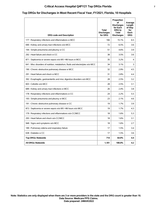## **Critical Access Hospital Q4FY21 Top DRGs Florida 7**

### **Top DRGs for Discharges in Most Recent Fiscal Year, FY2021, Florida, 10 Hospitals**

| <b>DRG code and Description</b>                                                | Total<br><b>Discharges</b><br>for DRG | Proportion<br>οf<br><b>Discharges</b><br>for Each<br><b>DRG</b> to<br><b>Total</b><br><b>Discharges</b> | Average<br>Length<br>of Stay<br>for<br>Each<br><b>DRG</b> |
|--------------------------------------------------------------------------------|---------------------------------------|---------------------------------------------------------------------------------------------------------|-----------------------------------------------------------|
| 177 : Respiratory infections and inflammations w MCC                           | 166                                   | 15.1%                                                                                                   | 6.5                                                       |
| 690 : Kidney and urinary tract infections w/o MCC                              | 72                                    | 6.5%                                                                                                    | 3.6                                                       |
| 194 : Simple pneumonia and pleurisy w CC                                       | 51                                    | 4.6%                                                                                                    | 3.9                                                       |
| 292 : Heart failure and shock w CC                                             | 38                                    | 3.5%                                                                                                    | 3.6                                                       |
| 871 : Septicemia or severe sepsis w/o MV >96 hours w MCC                       | 35                                    | 3.2%                                                                                                    | 4                                                         |
| 641 : Misc disorders of nutrition, metabolism, fluids and electrolytes w/o MCC | 34                                    | 3.1%                                                                                                    | 3                                                         |
| 190 : Chronic obstructive pulmonary disease w MCC                              | 32                                    | 2.9%                                                                                                    | 4.5                                                       |
| 291 : Heart failure and shock w MCC                                            | 31                                    | 2.8%                                                                                                    | 4.4                                                       |
| 392 : Esophagitis, gastroenteritis and misc digestive disorders w/o MCC        | 28                                    | 2.5%                                                                                                    | 3.2                                                       |
| 603 : Cellulitis w/o MCC                                                       | 28                                    | 2.5%                                                                                                    | 3.1                                                       |
| 689 : Kidney and urinary tract infections w MCC                                | 26                                    | 2.4%                                                                                                    | 3.8                                                       |
| 178 : Respiratory infections and inflammations w CC                            | 24                                    | 2.2%                                                                                                    | 5.5                                                       |
| 193 : Simple pneumonia and pleurisy w MCC                                      | 23                                    | 2.1%                                                                                                    | 4.6                                                       |
| 191 : Chronic obstructive pulmonary disease w CC                               | 19                                    | 1.7%                                                                                                    | 3.9                                                       |
| 872 : Septicemia or severe sepsis w/o MV >96 hours w/o MCC                     | 19                                    | 1.7%                                                                                                    | 4.3                                                       |
| 179 : Respiratory infections and inflammations w/o CC/MCC                      | 18                                    | 1.6%                                                                                                    | 5.3                                                       |
| 293 : Heart failure and shock w/o CC/MCC                                       | 18                                    | 1.6%                                                                                                    | 3.1                                                       |
| 948 : Signs and symptoms w/o MCC                                               | 18                                    | 1.6%                                                                                                    | 2.7                                                       |
| 189 : Pulmonary edema and respiratory failure                                  | 17                                    | 1.5%                                                                                                    | 3.4                                                       |
| 638 : Diabetes w CC                                                            | 17                                    | 1.5%                                                                                                    | 3.6                                                       |
| <b>Top DRGs Statewide</b>                                                      | 714                                   | 64.9%                                                                                                   | 4.4                                                       |
| <b>All DRGs Statewide</b>                                                      | 1,101                                 | 100.0%                                                                                                  | 4.2                                                       |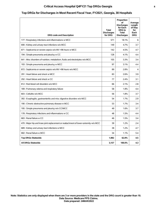## **Critical Access Hospital Q4FY21 Top DRGs Georgia 8**

### **Top DRGs for Discharges in Most Recent Fiscal Year, FY2021, Georgia, 30 Hospitals**

| <b>DRG code and Description</b>                                                       | <b>Total</b><br><b>Discharges</b><br>for DRG | Proportion<br>οf<br><b>Discharges</b><br>for Each<br><b>DRG</b> to<br><b>Total</b><br><b>Discharges</b> | Average<br>Length<br>of Stay<br>for<br>Each<br><b>DRG</b> |
|---------------------------------------------------------------------------------------|----------------------------------------------|---------------------------------------------------------------------------------------------------------|-----------------------------------------------------------|
| 177 : Respiratory infections and inflammations w MCC                                  | 571                                          | 18.1%                                                                                                   | 6                                                         |
| 690 : Kidney and urinary tract infections w/o MCC                                     | 149                                          | 4.7%                                                                                                    | 3.7                                                       |
| 871 : Septicemia or severe sepsis w/o MV >96 hours w MCC                              | 142                                          | 4.5%                                                                                                    | 4.7                                                       |
| 194 : Simple pneumonia and pleurisy w CC                                              | 128                                          | 4.1%                                                                                                    | 4.4                                                       |
| 641 : Misc disorders of nutrition, metabolism, fluids and electrolytes w/o MCC        | 105                                          | 3.3%                                                                                                    | 3.4                                                       |
| 193 : Simple pneumonia and pleurisy w MCC                                             | 97                                           | 3.1%                                                                                                    | 4.4                                                       |
| 872 : Septicemia or severe sepsis w/o MV >96 hours w/o MCC                            | 89                                           | 2.8%                                                                                                    | 4                                                         |
| 291 : Heart failure and shock w MCC                                                   | 83                                           | 2.6%                                                                                                    | 3.9                                                       |
| 292 : Heart failure and shock w CC                                                    | 77                                           | 2.4%                                                                                                    | 3.1                                                       |
| 812 : Red blood cell disorders w/o MCC                                                | 66                                           | 2.1%                                                                                                    | 2.8                                                       |
| 189 : Pulmonary edema and respiratory failure                                         | 58                                           | 1.8%                                                                                                    | 4.4                                                       |
| 603 : Cellulitis w/o MCC                                                              | 56                                           | 1.8%                                                                                                    | 3.7                                                       |
| 392 : Esophagitis, gastroenteritis and misc digestive disorders w/o MCC               | 54                                           | 1.7%                                                                                                    | 2.9                                                       |
| 190 : Chronic obstructive pulmonary disease w MCC                                     | 53                                           | 1.7%                                                                                                    | 3.4                                                       |
| 195 : Simple pneumonia and pleurisy w/o CC/MCC                                        | 49                                           | 1.6%                                                                                                    | 3.7                                                       |
| 178 : Respiratory infections and inflammations w CC                                   | 48                                           | 1.5%                                                                                                    | 4.4                                                       |
| 683 : Renal failure w CC                                                              | 46                                           | 1.5%                                                                                                    | 3.4                                                       |
| 470 : Major hip and knee joint replacement or reattachment of lower extremity w/o MCC | 39                                           | 1.2%                                                                                                    | 2.4                                                       |
| 689 : Kidney and urinary tract infections w MCC                                       | 38                                           | 1.2%                                                                                                    | 4.7                                                       |
| 682 : Renal failure w MCC                                                             | 34                                           | 1.1%                                                                                                    | 5.4                                                       |
| <b>Top DRGs Statewide</b>                                                             | 1,982                                        | 62.8%                                                                                                   | 4.5                                                       |
| <b>All DRGs Statewide</b>                                                             | 3,157                                        | 100.0%                                                                                                  | 4.3                                                       |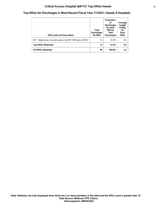## **Critical Access Hospital Q4FY21 Top DRGs Hawaii 9**

## **Top DRGs for Discharges in Most Recent Fiscal Year, FY2021, Hawaii, 6 Hospitals**

| <b>DRG code and Description</b>                          | Total<br><b>Discharges</b><br>for DRG | Proportion<br>Ωf<br><b>Discharges</b><br>for Each<br>DRG to<br>Total<br><b>Discharges</b> | Average<br>Length<br>of Stay<br>for<br>Each<br><b>DRG</b> |
|----------------------------------------------------------|---------------------------------------|-------------------------------------------------------------------------------------------|-----------------------------------------------------------|
| 871 : Septicemia or severe sepsis w/o MV >96 hours w MCC | 12                                    | 12.5%                                                                                     | 6.3                                                       |
| <b>Top DRGs Statewide</b>                                | 12                                    | 12.5%                                                                                     | 6.3                                                       |
| <b>All DRGs Statewide</b>                                | 96                                    | 100.0%                                                                                    | 4.2                                                       |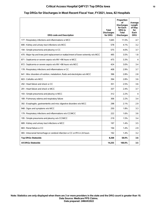## **Critical Access Hospital Q4FY21 Top DRGs Iowa 10**

#### **Top DRGs for Discharges in Most Recent Fiscal Year, FY2021, Iowa, 82 Hospitals**

| <b>DRG code and Description</b>                                                       | <b>Total</b><br><b>Discharges</b><br>for DRG | Proportion<br>οf<br><b>Discharges</b><br>for Each<br><b>DRG</b> to<br><b>Total</b><br><b>Discharges</b> | Average<br>Length<br>of Stay<br>for<br>Each<br><b>DRG</b> |
|---------------------------------------------------------------------------------------|----------------------------------------------|---------------------------------------------------------------------------------------------------------|-----------------------------------------------------------|
| 177 : Respiratory infections and inflammations w MCC                                  | 1.645                                        | 11.5%                                                                                                   | 4.7                                                       |
| 690 : Kidney and urinary tract infections w/o MCC                                     | 578                                          | 4.1%                                                                                                    | 3.2                                                       |
| 194 : Simple pneumonia and pleurisy w CC                                              | 575                                          | 4.0%                                                                                                    | 3.7                                                       |
| 470 : Major hip and knee joint replacement or reattachment of lower extremity w/o MCC | 495                                          | 3.5%                                                                                                    | 1.8                                                       |
| 871 : Septicemia or severe sepsis w/o MV >96 hours w MCC                              | 475                                          | 3.3%                                                                                                    | 4                                                         |
| 872 : Septicemia or severe sepsis w/o MV >96 hours w/o MCC                            | 424                                          | 3.0%                                                                                                    | 3.4                                                       |
| 178 : Respiratory infections and inflammations w CC                                   | 408                                          | 2.9%                                                                                                    | 3.7                                                       |
| 641 : Misc disorders of nutrition, metabolism, fluids and electrolytes w/o MCC        | 396                                          | 2.8%                                                                                                    | 2.8                                                       |
| 603 : Cellulitis w/o MCC                                                              | 394                                          | 2.8%                                                                                                    | 3.6                                                       |
| 292 : Heart failure and shock w CC                                                    | 351                                          | 2.5%                                                                                                    | 3.6                                                       |
| 291 : Heart failure and shock w MCC                                                   | 337                                          | 2.4%                                                                                                    | 3.7                                                       |
| 193 : Simple pneumonia and pleurisy w MCC                                             | 312                                          | 2.2%                                                                                                    | 4                                                         |
| 189 : Pulmonary edema and respiratory failure                                         | 306                                          | 2.2%                                                                                                    | 3.4                                                       |
| 392 : Esophagitis, gastroenteritis and misc digestive disorders w/o MCC               | 298                                          | 2.1%                                                                                                    | 2.9                                                       |
| 948 : Signs and symptoms w/o MCC                                                      | 250                                          | 1.8%                                                                                                    | 3.3                                                       |
| 179 : Respiratory infections and inflammations w/o CC/MCC                             | 222                                          | 1.6%                                                                                                    | 3.6                                                       |
| 195 : Simple pneumonia and pleurisy w/o CC/MCC                                        | 219                                          | 1.5%                                                                                                    | 3.4                                                       |
| 689 : Kidney and urinary tract infections w MCC                                       | 197                                          | 1.4%                                                                                                    | 3.5                                                       |
| 683 : Renal failure w CC                                                              | 194                                          | 1.4%                                                                                                    | 2.9                                                       |
| 065 : Intracranial hemorrhage or cerebral infarction w CC or tPA in 24 hours          | 192                                          | 1.4%                                                                                                    | 3.2                                                       |
| <b>Top DRGs Statewide</b>                                                             | 8,268                                        | 58.0%                                                                                                   | 3.6                                                       |
| All DRGs Statewide                                                                    | 14,255                                       | 100.0%                                                                                                  | 3.5                                                       |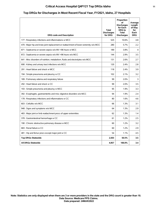### **Critical Access Hospital Q4FY21 Top DRGs Idaho 11**

#### **Top DRGs for Discharges in Most Recent Fiscal Year, FY2021, Idaho, 27 Hospitals**

| <b>DRG code and Description</b>                                                       | Total<br><b>Discharges</b><br>for DRG | Proportion<br>of<br><b>Discharges</b><br>for Each<br><b>DRG</b> to<br><b>Total</b><br><b>Discharges</b> | Average<br>Length<br>of Stay<br>for<br>Each<br><b>DRG</b> |
|---------------------------------------------------------------------------------------|---------------------------------------|---------------------------------------------------------------------------------------------------------|-----------------------------------------------------------|
| 177 : Respiratory infections and inflammations w MCC                                  | 525                                   | 10.6%                                                                                                   | 4.8                                                       |
| 470 : Major hip and knee joint replacement or reattachment of lower extremity w/o MCC | 280                                   | 5.7%                                                                                                    | 2.2                                                       |
| 871 : Septicemia or severe sepsis w/o MV >96 hours w MCC                              | 189                                   | 3.8%                                                                                                    | 4                                                         |
| 872 : Septicemia or severe sepsis w/o MV >96 hours w/o MCC                            | 144                                   | 2.9%                                                                                                    | 3.5                                                       |
| 641 : Misc disorders of nutrition, metabolism, fluids and electrolytes w/o MCC        | 131                                   | 2.6%                                                                                                    | 2.7                                                       |
| 690 : Kidney and urinary tract infections w/o MCC                                     | 120                                   | 2.4%                                                                                                    | 2.8                                                       |
| 291 : Heart failure and shock w MCC                                                   | 118                                   | 2.4%                                                                                                    | 3.9                                                       |
| 194 : Simple pneumonia and pleurisy w CC                                              | 102                                   | 2.1%                                                                                                    | 3.2                                                       |
| 189 : Pulmonary edema and respiratory failure                                         | 99                                    | 2.0%                                                                                                    | 3                                                         |
| 292 : Heart failure and shock w CC                                                    | 99                                    | 2.0%                                                                                                    | 3.5                                                       |
| 193 : Simple pneumonia and pleurisy w MCC                                             | 95                                    | 1.9%                                                                                                    | 3.3                                                       |
| 392 : Esophagitis, gastroenteritis and misc digestive disorders w/o MCC               | 94                                    | 1.9%                                                                                                    | 2.4                                                       |
| 178 : Respiratory infections and inflammations w CC                                   | 80                                    | 1.6%                                                                                                    | 4.6                                                       |
| 603 : Cellulitis w/o MCC                                                              | 66                                    | 1.3%                                                                                                    | 3.1                                                       |
| 948 : Signs and symptoms w/o MCC                                                      | 64                                    | 1.3%                                                                                                    | 2.9                                                       |
| 483 : Major joint or limb reattachment procs of upper extremities                     | 62                                    | 1.3%                                                                                                    | 1.4                                                       |
| 378 : Gastrointestinal hemorrhage w CC                                                | 61                                    | 1.2%                                                                                                    | 2.5                                                       |
| 190 : Chronic obstructive pulmonary disease w MCC                                     | 60                                    | 1.2%                                                                                                    | 3.2                                                       |
| 683 : Renal failure w CC                                                              | 60                                    | 1.2%                                                                                                    | 2.9                                                       |
| 481 : Hip and femur procs except major joint w CC                                     | 54                                    | 1.1%                                                                                                    | 4.5                                                       |
| <b>Top DRGs Statewide</b>                                                             | 2,503                                 | 50.5%                                                                                                   | 3.5                                                       |
| All DRGs Statewide                                                                    | 4,957                                 | 100.0%                                                                                                  | 3.4                                                       |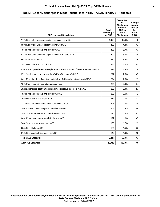## **Critical Access Hospital Q4FY21 Top DRGs Illinois 12**

#### **Top DRGs for Discharges in Most Recent Fiscal Year, FY2021, Illinois, 51 Hospitals**

| <b>DRG code and Description</b>                                                       | <b>Total</b><br><b>Discharges</b><br>for DRG | Proportion<br>οf<br><b>Discharges</b><br>for Each<br><b>DRG</b> to<br><b>Total</b><br><b>Discharges</b> | Average<br>Length<br>of Stay<br>for<br>Each<br><b>DRG</b> |
|---------------------------------------------------------------------------------------|----------------------------------------------|---------------------------------------------------------------------------------------------------------|-----------------------------------------------------------|
| 177 : Respiratory infections and inflammations w MCC                                  | 1.308                                        | 12.0%                                                                                                   | 4.8                                                       |
| 690 : Kidney and urinary tract infections w/o MCC                                     | 480                                          | 4.4%                                                                                                    | 3.3                                                       |
| 194 : Simple pneumonia and pleurisy w CC                                              | 408                                          | 3.7%                                                                                                    | 3.7                                                       |
| 871 : Septicemia or severe sepsis w/o MV >96 hours w MCC                              | 400                                          | 3.7%                                                                                                    | 3.9                                                       |
| 603 : Cellulitis w/o MCC                                                              | 370                                          | 3.4%                                                                                                    | 3.6                                                       |
| 291 : Heart failure and shock w MCC                                                   | 345                                          | 3.2%                                                                                                    | 3.5                                                       |
| 470 : Major hip and knee joint replacement or reattachment of lower extremity w/o MCC | 321                                          | 2.9%                                                                                                    | 2.4                                                       |
| 872 : Septicemia or severe sepsis w/o MV >96 hours w/o MCC                            | 277                                          | 2.5%                                                                                                    | 3.7                                                       |
| 641 : Misc disorders of nutrition, metabolism, fluids and electrolytes w/o MCC        | 274                                          | 2.5%                                                                                                    | 2.9                                                       |
| 189 : Pulmonary edema and respiratory failure                                         | 254                                          | 2.3%                                                                                                    | 3.4                                                       |
| 392 : Esophagitis, gastroenteritis and misc digestive disorders w/o MCC               | 253                                          | 2.3%                                                                                                    | 2.7                                                       |
| 193 : Simple pneumonia and pleurisy w MCC                                             | 220                                          | 2.0%                                                                                                    | 4.2                                                       |
| 292 : Heart failure and shock w CC                                                    | 217                                          | 2.0%                                                                                                    | 3.3                                                       |
| 178 : Respiratory infections and inflammations w CC                                   | 206                                          | 1.9%                                                                                                    | 3.8                                                       |
| 190 : Chronic obstructive pulmonary disease w MCC                                     | 203                                          | 1.9%                                                                                                    | 3.8                                                       |
| 195 : Simple pneumonia and pleurisy w/o CC/MCC                                        | 196                                          | 1.8%                                                                                                    | 3.3                                                       |
| 689 : Kidney and urinary tract infections w MCC                                       | 192                                          | 1.8%                                                                                                    | 3.7                                                       |
| 948 : Signs and symptoms w/o MCC                                                      | 185                                          | 1.7%                                                                                                    | 2.9                                                       |
| 683 : Renal failure w CC                                                              | 166                                          | 1.5%                                                                                                    | 3.2                                                       |
| 812 : Red blood cell disorders w/o MCC                                                | 142                                          | 1.3%                                                                                                    | 2.8                                                       |
| <b>Top DRGs Statewide</b>                                                             | 6,417                                        | 58.8%                                                                                                   | 3.7                                                       |
| All DRGs Statewide                                                                    | 10,913                                       | 100.0%                                                                                                  | 3.6                                                       |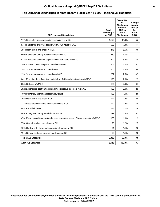## **Critical Access Hospital Q4FY21 Top DRGs Indiana 13**

# **Top DRGs for Discharges in Most Recent Fiscal Year, FY2021, Indiana, 35 Hospitals**

| <b>DRG code and Description</b>                                                       | <b>Total</b><br><b>Discharges</b><br>for DRG | Proportion<br>οf<br><b>Discharges</b><br>for Each<br><b>DRG</b> to<br>Total<br><b>Discharges</b> | Average<br>Length<br>of Stay<br>for<br>Each<br><b>DRG</b> |
|---------------------------------------------------------------------------------------|----------------------------------------------|--------------------------------------------------------------------------------------------------|-----------------------------------------------------------|
| 177 : Respiratory infections and inflammations w MCC                                  | 1,159                                        | 14.3%                                                                                            | 5.2                                                       |
| 871 : Septicemia or severe sepsis w/o MV >96 hours w MCC                              | 595                                          | 7.3%                                                                                             | 4.4                                                       |
| 291 : Heart failure and shock w MCC                                                   | 448                                          | 5.5%                                                                                             | 3.6                                                       |
| 690 : Kidney and urinary tract infections w/o MCC                                     | 330                                          | 4.1%                                                                                             | 3                                                         |
| 872 : Septicemia or severe sepsis w/o MV >96 hours w/o MCC                            | 292                                          | 3.6%                                                                                             | 3.4                                                       |
| 190 : Chronic obstructive pulmonary disease w MCC                                     | 208                                          | 2.6%                                                                                             | 3.3                                                       |
| 194 : Simple pneumonia and pleurisy w CC                                              | 206                                          | 2.5%                                                                                             | 3.6                                                       |
| 193 : Simple pneumonia and pleurisy w MCC                                             | 202                                          | 2.5%                                                                                             | 4.3                                                       |
| 641 : Misc disorders of nutrition, metabolism, fluids and electrolytes w/o MCC        | 190                                          | 2.3%                                                                                             | 2.9                                                       |
| 603 : Cellulitis w/o MCC                                                              | 166                                          | 2.0%                                                                                             | 3.3                                                       |
| 392 : Esophagitis, gastroenteritis and misc digestive disorders w/o MCC               | 158                                          | 2.0%                                                                                             | 2.9                                                       |
| 189 : Pulmonary edema and respiratory failure                                         | 153                                          | 1.9%                                                                                             | 2.8                                                       |
| 292 : Heart failure and shock w CC                                                    | 147                                          | 1.8%                                                                                             | 2.9                                                       |
| 178 : Respiratory infections and inflammations w CC                                   | 142                                          | 1.8%                                                                                             | 3.8                                                       |
| 683 : Renal failure w CC                                                              | 135                                          | 1.7%                                                                                             | 2.8                                                       |
| 689 : Kidney and urinary tract infections w MCC                                       | 119                                          | 1.5%                                                                                             | 3.5                                                       |
| 470 : Major hip and knee joint replacement or reattachment of lower extremity w/o MCC | 103                                          | 1.3%                                                                                             | 1.9                                                       |
| 378 : Gastrointestinal hemorrhage w CC                                                | 95                                           | 1.2%                                                                                             | 2.7                                                       |
| 309 : Cardiac arrhythmia and conduction disorders w CC                                | 91                                           | 1.1%                                                                                             | 2.6                                                       |
| 191 : Chronic obstructive pulmonary disease w CC                                      | 90                                           | 1.1%                                                                                             | 2.8                                                       |
| <b>Top DRGs Statewide</b>                                                             | 5,029                                        | 62.0%                                                                                            | 3.8                                                       |
| <b>All DRGs Statewide</b>                                                             | 8,118                                        | 100.0%                                                                                           | 3.7                                                       |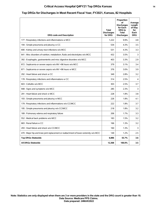## **Critical Access Hospital Q4FY21 Top DRGs Kansas 14**

#### **Top DRGs for Discharges in Most Recent Fiscal Year, FY2021, Kansas, 82 Hospitals**

| <b>DRG code and Description</b>                                                       | <b>Total</b><br><b>Discharges</b><br>for DRG | Proportion<br>οf<br><b>Discharges</b><br>for Each<br><b>DRG</b> to<br><b>Total</b><br><b>Discharges</b> | Average<br>Lenath<br>of Stay<br>for<br>Each<br><b>DRG</b> |
|---------------------------------------------------------------------------------------|----------------------------------------------|---------------------------------------------------------------------------------------------------------|-----------------------------------------------------------|
| 177 : Respiratory infections and inflammations w MCC                                  | 1,222                                        | 9.9%                                                                                                    | 4.8                                                       |
| 194 : Simple pneumonia and pleurisy w CC                                              | 534                                          | 4.3%                                                                                                    | 3.5                                                       |
| 690 : Kidney and urinary tract infections w/o MCC                                     | 531                                          | 4.3%                                                                                                    | 3.3                                                       |
| 641 : Misc disorders of nutrition, metabolism, fluids and electrolytes w/o MCC        | 432                                          | 3.5%                                                                                                    | 3                                                         |
| 392 : Esophagitis, gastroenteritis and misc digestive disorders w/o MCC               | 403                                          | 3.3%                                                                                                    | 2.9                                                       |
| 872 : Septicemia or severe sepsis w/o MV >96 hours w/o MCC                            | 379                                          | 3.1%                                                                                                    | 3.4                                                       |
| 871 : Septicemia or severe sepsis w/o MV >96 hours w MCC                              | 376                                          | 3.0%                                                                                                    | 3.9                                                       |
| 292 : Heart failure and shock w CC                                                    | 349                                          | 2.8%                                                                                                    | 3.2                                                       |
| 178 : Respiratory infections and inflammations w CC                                   | 314                                          | 2.5%                                                                                                    | 4                                                         |
| 603 : Cellulitis w/o MCC                                                              | 303                                          | 2.5%                                                                                                    | 3.7                                                       |
| 948 : Signs and symptoms w/o MCC                                                      | 285                                          | 2.3%                                                                                                    | 3                                                         |
| 291 : Heart failure and shock w MCC                                                   | 228                                          | 1.8%                                                                                                    | 3.8                                                       |
| 193 : Simple pneumonia and pleurisy w MCC                                             | 226                                          | 1.8%                                                                                                    | 4.1                                                       |
| 179 : Respiratory infections and inflammations w/o CC/MCC                             | 222                                          | 1.8%                                                                                                    | 3.7                                                       |
| 195 : Simple pneumonia and pleurisy w/o CC/MCC                                        | 218                                          | 1.8%                                                                                                    | 3.2                                                       |
| 189 : Pulmonary edema and respiratory failure                                         | 206                                          | 1.7%                                                                                                    | 3.3                                                       |
| 552 : Medical back problems w/o MCC                                                   | 183                                          | 1.5%                                                                                                    | 3.2                                                       |
| 683 : Renal failure w CC                                                              | 166                                          | 1.3%                                                                                                    | 3.2                                                       |
| 293 : Heart failure and shock w/o CC/MCC                                              | 160                                          | 1.3%                                                                                                    | 3                                                         |
| 470 : Major hip and knee joint replacement or reattachment of lower extremity w/o MCC | 149                                          | 1.2%                                                                                                    | 2.5                                                       |
| <b>Top DRGs Statewide</b>                                                             | 6,886                                        | 55.7%                                                                                                   | 3.6                                                       |
| All DRGs Statewide                                                                    | 12,368                                       | 100.0%                                                                                                  | 3.5                                                       |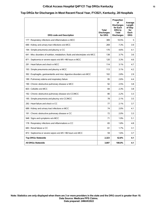## **Critical Access Hospital Q4FY21 Top DRGs Kentucky 15**

#### **Top DRGs for Discharges in Most Recent Fiscal Year, FY2021, Kentucky, 28 Hospitals**

| <b>DRG code and Description</b>                                                | Total<br><b>Discharges</b><br>for DRG | Proportion<br>οf<br><b>Discharges</b><br>for Each<br>DRG to<br><b>Total</b><br><b>Discharges</b> | Average<br>Length<br>of Stay<br>for<br>Each<br><b>DRG</b> |
|--------------------------------------------------------------------------------|---------------------------------------|--------------------------------------------------------------------------------------------------|-----------------------------------------------------------|
| 177 : Respiratory infections and inflammations w MCC                           | 389                                   | 10.5%                                                                                            | 5                                                         |
| 690 : Kidney and urinary tract infections w/o MCC                              | 269                                   | 7.3%                                                                                             | 3.9                                                       |
| 194 : Simple pneumonia and pleurisy w CC                                       | 170                                   | 4.6%                                                                                             | 4.1                                                       |
| 641 : Misc disorders of nutrition, metabolism, fluids and electrolytes w/o MCC | 138                                   | 3.7%                                                                                             | 3.6                                                       |
| 871 : Septicemia or severe sepsis w/o MV >96 hours w MCC                       | 120                                   | 3.3%                                                                                             | 4.6                                                       |
| 291 : Heart failure and shock w MCC                                            | 114                                   | 3.1%                                                                                             | 4.7                                                       |
| 193 : Simple pneumonia and pleurisy w MCC                                      | 113                                   | 3.1%                                                                                             | 4.2                                                       |
| 392 : Esophagitis, gastroenteritis and misc digestive disorders w/o MCC        | 102                                   | 2.8%                                                                                             | 2.9                                                       |
| 189 : Pulmonary edema and respiratory failure                                  | 95                                    | 2.6%                                                                                             | 4.4                                                       |
| 190 : Chronic obstructive pulmonary disease w MCC                              | 92                                    | 2.5%                                                                                             | 3.8                                                       |
| 603 : Cellulitis w/o MCC                                                       | 84                                    | 2.3%                                                                                             | 3.8                                                       |
| 192 : Chronic obstructive pulmonary disease w/o CC/MCC                         | 80                                    | 2.2%                                                                                             | 3.3                                                       |
| 195 : Simple pneumonia and pleurisy w/o CC/MCC                                 | 78                                    | 2.1%                                                                                             | 3.5                                                       |
| 292 : Heart failure and shock w CC                                             | 77                                    | 2.1%                                                                                             | 3.7                                                       |
| 689 : Kidney and urinary tract infections w MCC                                | 74                                    | 2.0%                                                                                             | 4.1                                                       |
| 191 : Chronic obstructive pulmonary disease w CC                               | 72                                    | 2.0%                                                                                             | 3.3                                                       |
| 948 : Signs and symptoms w/o MCC                                               | 71                                    | 1.9%                                                                                             | 5.1                                                       |
| 178 : Respiratory infections and inflammations w CC                            | 65                                    | 1.8%                                                                                             | 4.8                                                       |
| 683 : Renal failure w CC                                                       | 61                                    | 1.7%                                                                                             | 3.1                                                       |
| 872 : Septicemia or severe sepsis w/o MV >96 hours w/o MCC                     | 59                                    | 1.6%                                                                                             | 3.7                                                       |
| <b>Top DRGs Statewide</b>                                                      | 2,323                                 | 62.8%                                                                                            | 4.1                                                       |
| <b>All DRGs Statewide</b>                                                      | 3,697                                 | 100.0%                                                                                           | 4.1                                                       |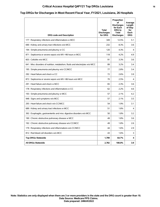## **Critical Access Hospital Q4FY21 Top DRGs Louisiana 16**

#### **Top DRGs for Discharges in Most Recent Fiscal Year, FY2021, Louisiana, 26 Hospitals**

| <b>DRG code and Description</b>                                                | <b>Total</b><br><b>Discharges</b><br>for DRG | Proportion<br>οf<br><b>Discharges</b><br>for Each<br><b>DRG</b> to<br>Total<br><b>Discharges</b> | Average<br>Length<br>of Stay<br>for<br>Each<br><b>DRG</b> |
|--------------------------------------------------------------------------------|----------------------------------------------|--------------------------------------------------------------------------------------------------|-----------------------------------------------------------|
| 177 : Respiratory infections and inflammations w MCC                           | 349                                          | 12.5%                                                                                            | 5.1                                                       |
| 690 : Kidney and urinary tract infections w/o MCC                              | 232                                          | 8.3%                                                                                             | 3.6                                                       |
| 194 : Simple pneumonia and pleurisy w CC                                       | 120                                          | 4.3%                                                                                             | 4                                                         |
| 871 : Septicemia or severe sepsis w/o MV >96 hours w MCC                       | 118                                          | 4.2%                                                                                             | 4.9                                                       |
| 603 : Cellulitis w/o MCC                                                       | 91                                           | 3.3%                                                                                             | 3.6                                                       |
| 641 : Misc disorders of nutrition, metabolism, fluids and electrolytes w/o MCC | 89                                           | 3.2%                                                                                             | 3.4                                                       |
| 195 : Simple pneumonia and pleurisy w/o CC/MCC                                 | 77                                           | 2.8%                                                                                             | 3.4                                                       |
| 292 : Heart failure and shock w CC                                             | 72                                           | 2.6%                                                                                             | 3.9                                                       |
| 872 : Septicemia or severe sepsis w/o MV >96 hours w/o MCC                     | 70                                           | 2.5%                                                                                             | 4                                                         |
| 291 : Heart failure and shock w MCC                                            | 65                                           | 2.3%                                                                                             | 3.6                                                       |
| 178 : Respiratory infections and inflammations w CC                            | 62                                           | 2.2%                                                                                             | 4.6                                                       |
| 193 : Simple pneumonia and pleurisy w MCC                                      | 57                                           | 2.1%                                                                                             | 4.2                                                       |
| 948 : Signs and symptoms w/o MCC                                               | 57                                           | 2.1%                                                                                             | 3.5                                                       |
| 293 : Heart failure and shock w/o CC/MCC                                       | 54                                           | 1.9%                                                                                             | 3.1                                                       |
| 689 : Kidney and urinary tract infections w MCC                                | 51                                           | 1.8%                                                                                             | 4                                                         |
| 392 : Esophagitis, gastroenteritis and misc digestive disorders w/o MCC        | 50                                           | 1.8%                                                                                             | 3.2                                                       |
| 190 : Chronic obstructive pulmonary disease w MCC                              | 49                                           | 1.8%                                                                                             | 3.6                                                       |
| 192 : Chronic obstructive pulmonary disease w/o CC/MCC                         | 49                                           | 1.8%                                                                                             | 2.6                                                       |
| 179 : Respiratory infections and inflammations w/o CC/MCC                      | 44                                           | 1.6%                                                                                             | 2.9                                                       |
| 812 : Red blood cell disorders w/o MCC                                         | 43                                           | 1.6%                                                                                             | 3                                                         |
| <b>Top DRGs Statewide</b>                                                      | 1,799                                        | 64.7%                                                                                            | 4                                                         |
| <b>All DRGs Statewide</b>                                                      | 2,782                                        | 100.0%                                                                                           | 3.9                                                       |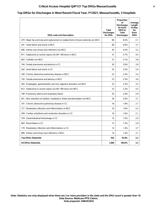## **Critical Access Hospital Q4FY21 Top DRGs Massachusetts 17**

#### **Top DRGs for Discharges in Most Recent Fiscal Year, FY2021, Massachusetts, 3 Hospitals**

| <b>DRG code and Description</b>                                                       | <b>Total</b><br><b>Discharges</b><br>for DRG | Proportion<br>οf<br><b>Discharges</b><br>for Each<br><b>DRG</b> to<br><b>Total</b><br><b>Discharges</b> | Average<br>Length<br>of Stay<br>for<br>Each<br><b>DRG</b> |
|---------------------------------------------------------------------------------------|----------------------------------------------|---------------------------------------------------------------------------------------------------------|-----------------------------------------------------------|
| 470 : Major hip and knee joint replacement or reattachment of lower extremity w/o MCC | 86                                           | 8.5%                                                                                                    | 2.1                                                       |
| 291 : Heart failure and shock w MCC                                                   | 68                                           | 6.8%                                                                                                    | 3.7                                                       |
| 690 : Kidney and urinary tract infections w/o MCC                                     | 45                                           | 4.5%                                                                                                    | 3.2                                                       |
| 871 : Septicemia or severe sepsis w/o MV >96 hours w MCC                              | 37                                           | 3.7%                                                                                                    | 4.4                                                       |
| 603 : Cellulitis w/o MCC                                                              | 31                                           | 3.1%                                                                                                    | 3.8                                                       |
| 194 : Simple pneumonia and pleurisy w CC                                              | 30                                           | 3.0%                                                                                                    | 2.8                                                       |
| 292 : Heart failure and shock w CC                                                    | 25                                           | 2.5%                                                                                                    | 3.4                                                       |
| 190 : Chronic obstructive pulmonary disease w MCC                                     | 23                                           | 2.3%                                                                                                    | 3.4                                                       |
| 193 : Simple pneumonia and pleurisy w MCC                                             | 23                                           | 2.3%                                                                                                    | 3.6                                                       |
| 392 : Esophagitis, gastroenteritis and misc digestive disorders w/o MCC               | 23                                           | 2.3%                                                                                                    | 3.3                                                       |
| 872 : Septicemia or severe sepsis w/o MV >96 hours w/o MCC                            | 23                                           | 2.3%                                                                                                    | 4.3                                                       |
| 189 : Pulmonary edema and respiratory failure                                         | 20                                           | 2.0%                                                                                                    | 2.8                                                       |
| 641 : Misc disorders of nutrition, metabolism, fluids and electrolytes w/o MCC        | 20                                           | 2.0%                                                                                                    | 3.1                                                       |
| 191 : Chronic obstructive pulmonary disease w CC                                      | 18                                           | 1.8%                                                                                                    | 2.7                                                       |
| 177 : Respiratory infections and inflammations w MCC                                  | 16                                           | 1.6%                                                                                                    | 5.3                                                       |
| 309 : Cardiac arrhythmia and conduction disorders w CC                                | 16                                           | 1.6%                                                                                                    | 2.1                                                       |
| 378 : Gastrointestinal hemorrhage w CC                                                | 15                                           | 1.5%                                                                                                    | 2.9                                                       |
| 683 : Renal failure w CC                                                              | 15                                           | 1.5%                                                                                                    | 2.9                                                       |
| 178 : Respiratory infections and inflammations w CC                                   | 14                                           | 1.4%                                                                                                    | 3.7                                                       |
| 689 : Kidney and urinary tract infections w MCC                                       | 14                                           | 1.4%                                                                                                    | 3.1                                                       |
| <b>Top DRGs Statewide</b>                                                             | 562                                          | 55.8%                                                                                                   | 3.2                                                       |
| <b>All DRGs Statewide</b>                                                             | 1.008                                        | 100.0%                                                                                                  | 3.3                                                       |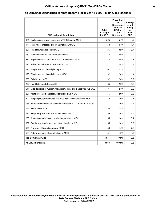## **Critical Access Hospital Q4FY21 Top DRGs Maine 18**

#### **Top DRGs for Discharges in Most Recent Fiscal Year, FY2021, Maine, 16 Hospitals**

| <b>DRG code and Description</b>                                                | <b>Total</b><br><b>Discharges</b><br>for DRG | Proportion<br>οf<br><b>Discharges</b><br>for Each<br><b>DRG</b> to<br><b>Total</b><br><b>Discharges</b> | Average<br>Length<br>of Stay<br>for<br>Each<br><b>DRG</b> |
|--------------------------------------------------------------------------------|----------------------------------------------|---------------------------------------------------------------------------------------------------------|-----------------------------------------------------------|
| 871 : Septicemia or severe sepsis w/o MV >96 hours w MCC                       | 206                                          | 5.4%                                                                                                    | 4.5                                                       |
| 177 : Respiratory infections and inflammations w MCC                           | 158                                          | 4.1%                                                                                                    | 4.7                                                       |
| 291 : Heart failure and shock w MCC                                            | 135                                          | 3.5%                                                                                                    | 3.7                                                       |
| 189 : Pulmonary edema and respiratory failure                                  | 133                                          | 3.5%                                                                                                    | 3.9                                                       |
| 872 : Septicemia or severe sepsis w/o MV >96 hours w/o MCC                     | 133                                          | 3.5%                                                                                                    | 3.8                                                       |
| 690 : Kidney and urinary tract infections w/o MCC                              | 111                                          | 2.9%                                                                                                    | 3.3                                                       |
| 194 : Simple pneumonia and pleurisy w CC                                       | 101                                          | 2.7%                                                                                                    | 3.6                                                       |
| 193 : Simple pneumonia and pleurisy w MCC                                      | 92                                           | 2.4%                                                                                                    | 4                                                         |
| 603 : Cellulitis w/o MCC                                                       | 92                                           | 2.4%                                                                                                    | 3.9                                                       |
| 292 : Heart failure and shock w CC                                             | 86                                           | 2.3%                                                                                                    | 3.6                                                       |
| 641 : Misc disorders of nutrition, metabolism, fluids and electrolytes w/o MCC | 81                                           | 2.1%                                                                                                    | 3.6                                                       |
| 281 : Acute myocardial infarction, discharged alive w CC                       | 75                                           | 2.0%                                                                                                    | 2.6                                                       |
| 392 : Esophagitis, gastroenteritis and misc digestive disorders w/o MCC        | 72                                           | 1.9%                                                                                                    | 3.1                                                       |
| 065 : Intracranial hemorrhage or cerebral infarction w CC or tPA in 24 hours   | 71                                           | 1.9%                                                                                                    | 3.4                                                       |
| 683 : Renal failure w CC                                                       | 56                                           | 1.5%                                                                                                    | 3.6                                                       |
| 178 : Respiratory infections and inflammations w CC                            | 55                                           | 1.4%                                                                                                    | 4.8                                                       |
| 280 : Acute myocardial infarction, discharged alive w MCC                      | 55                                           | 1.4%                                                                                                    | 3.1                                                       |
| 309 : Cardiac arrhythmia and conduction disorders w CC                         | 55                                           | 1.4%                                                                                                    | 3.3                                                       |
| 536 : Fractures of hip and pelvis w/o MCC                                      | 53                                           | 1.4%                                                                                                    | 2.6                                                       |
| 689 : Kidney and urinary tract infections w MCC                                | 51                                           | 1.3%                                                                                                    | 4.2                                                       |
| <b>Top DRGs Statewide</b>                                                      | 1,871                                        | 49.0%                                                                                                   | 3.8                                                       |
| <b>All DRGs Statewide</b>                                                      | 3,818                                        | 100.0%                                                                                                  | 3.8                                                       |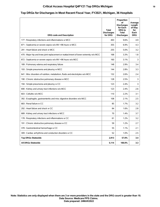## **Critical Access Hospital Q4FY21 Top DRGs Michigan 19**

#### **Top DRGs for Discharges in Most Recent Fiscal Year, FY2021, Michigan, 36 Hospitals**

| <b>DRG code and Description</b>                                                       | <b>Total</b><br><b>Discharges</b><br>for DRG | Proportion<br>οf<br><b>Discharges</b><br>for Each<br><b>DRG</b> to<br><b>Total</b><br><b>Discharges</b> | Average<br>Length<br>of Stay<br>for<br>Each<br><b>DRG</b> |
|---------------------------------------------------------------------------------------|----------------------------------------------|---------------------------------------------------------------------------------------------------------|-----------------------------------------------------------|
| 177 : Respiratory infections and inflammations w MCC                                  | 493                                          | 9.6%                                                                                                    | 4.9                                                       |
| 871 : Septicemia or severe sepsis w/o MV >96 hours w MCC                              | 355                                          | 6.9%                                                                                                    | 4.3                                                       |
| 291 : Heart failure and shock w MCC                                                   | 255                                          | 5.0%                                                                                                    | 3.2                                                       |
| 470 : Major hip and knee joint replacement or reattachment of lower extremity w/o MCC | 168                                          | 3.3%                                                                                                    | 1.8                                                       |
| 872 : Septicemia or severe sepsis w/o MV >96 hours w/o MCC                            | 160                                          | 3.1%                                                                                                    | 3                                                         |
| 189 : Pulmonary edema and respiratory failure                                         | 148                                          | 2.9%                                                                                                    | 3.4                                                       |
| 193 : Simple pneumonia and pleurisy w MCC                                             | 144                                          | 2.8%                                                                                                    | 3.3                                                       |
| 641 : Misc disorders of nutrition, metabolism, fluids and electrolytes w/o MCC        | 132                                          | 2.6%                                                                                                    | 2.4                                                       |
| 190 : Chronic obstructive pulmonary disease w MCC                                     | 128                                          | 2.5%                                                                                                    | 3                                                         |
| 194 : Simple pneumonia and pleurisy w CC                                              | 123                                          | 2.4%                                                                                                    | 3                                                         |
| 690 : Kidney and urinary tract infections w/o MCC                                     | 123                                          | 2.4%                                                                                                    | 2.6                                                       |
| 603 : Cellulitis w/o MCC                                                              | 110                                          | 2.2%                                                                                                    | 3.1                                                       |
| 392 : Esophagitis, gastroenteritis and misc digestive disorders w/o MCC               | 108                                          | 2.1%                                                                                                    | 2.5                                                       |
| 683 : Renal failure w CC                                                              | 85                                           | 1.7%                                                                                                    | 3.2                                                       |
| 292 : Heart failure and shock w CC                                                    | 84                                           | 1.6%                                                                                                    | 2.8                                                       |
| 689 : Kidney and urinary tract infections w MCC                                       | 70                                           | 1.4%                                                                                                    | 3.7                                                       |
| 178 : Respiratory infections and inflammations w CC                                   | 61                                           | 1.2%                                                                                                    | 3.2                                                       |
| 191 : Chronic obstructive pulmonary disease w CC                                      | 59                                           | 1.2%                                                                                                    | 2.7                                                       |
| 378 : Gastrointestinal hemorrhage w CC                                                | 55                                           | 1.1%                                                                                                    | 2.1                                                       |
| 309 : Cardiac arrhythmia and conduction disorders w CC                                | 52                                           | 1.0%                                                                                                    | 2.5                                                       |
| <b>Top DRGs Statewide</b>                                                             | 2,913                                        | 57.0%                                                                                                   | 3.4                                                       |
| <b>All DRGs Statewide</b>                                                             | 5,114                                        | 100.0%                                                                                                  | 3.3                                                       |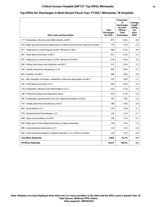## **Critical Access Hospital Q4FY21 Top DRGs Minnesota 20**

#### **Top DRGs for Discharges in Most Recent Fiscal Year, FY2021, Minnesota, 76 Hospitals**

| <b>DRG code and Description</b>                                                       | Total<br><b>Discharges</b><br>for DRG | Proportion<br>οf<br><b>Discharges</b><br>for Each<br>DRG to<br><b>Total</b><br><b>Discharges</b> | Average<br>Length<br>of Stay<br>for<br>Each<br><b>DRG</b> |
|---------------------------------------------------------------------------------------|---------------------------------------|--------------------------------------------------------------------------------------------------|-----------------------------------------------------------|
| 177 : Respiratory infections and inflammations w MCC                                  | 977                                   | 9.2%                                                                                             | 4.8                                                       |
| 470 : Major hip and knee joint replacement or reattachment of lower extremity w/o MCC | 776                                   | 7.3%                                                                                             | 2.3                                                       |
| 871 : Septicemia or severe sepsis w/o MV >96 hours w MCC                              | 388                                   | 3.7%                                                                                             | 3.9                                                       |
| 291 : Heart failure and shock w MCC                                                   | 351                                   | 3.3%                                                                                             | 3.7                                                       |
| 872 : Septicemia or severe sepsis w/o MV >96 hours w/o MCC                            | 318                                   | 3.0%                                                                                             | 3.4                                                       |
| 690 : Kidney and urinary tract infections w/o MCC                                     | 313                                   | 2.9%                                                                                             | 3.3                                                       |
| 194 : Simple pneumonia and pleurisy w CC                                              | 303                                   | 2.9%                                                                                             | 3.7                                                       |
| 603 : Cellulitis w/o MCC                                                              | 280                                   | 2.6%                                                                                             | 3.6                                                       |
| 641 : Misc disorders of nutrition, metabolism, fluids and electrolytes w/o MCC        | 276                                   | 2.6%                                                                                             | 2.7                                                       |
| 292 : Heart failure and shock w CC                                                    | 263                                   | 2.5%                                                                                             | 3.4                                                       |
| 178 : Respiratory infections and inflammations w CC                                   | 225                                   | 2.1%                                                                                             | 3.9                                                       |
| 189 : Pulmonary edema and respiratory failure                                         | 223                                   | 2.1%                                                                                             | 3.3                                                       |
| 392 : Esophagitis, gastroenteritis and misc digestive disorders w/o MCC               | 193                                   | 1.8%                                                                                             | 3.2                                                       |
| 193 : Simple pneumonia and pleurisy w MCC                                             | 188                                   | 1.8%                                                                                             | 3.9                                                       |
| 683 : Renal failure w CC                                                              | 153                                   | 1.4%                                                                                             | 3.1                                                       |
| 378 : Gastrointestinal hemorrhage w CC                                                | 129                                   | 1.2%                                                                                             | 2.7                                                       |
| 948 : Signs and symptoms w/o MCC                                                      | 128                                   | 1.2%                                                                                             | 3.2                                                       |
| 483 : Major joint or limb reattachment procs of upper extremities                     | 126                                   | 1.2%                                                                                             | 1.5                                                       |
| 389 : Gastrointestinal obstruction w CC                                               | 125                                   | 1.2%                                                                                             | 2.9                                                       |
| 065 : Intracranial hemorrhage or cerebral infarction w CC or tPA in 24 hours          | 124                                   | 1.2%                                                                                             | 2.9                                                       |
| <b>Top DRGs Statewide</b>                                                             | 5,859                                 | 55.1%                                                                                            | 3.5                                                       |
| <b>All DRGs Statewide</b>                                                             | 10,637                                | 100.0%                                                                                           | 3.4                                                       |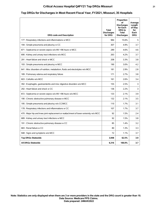## **Critical Access Hospital Q4FY21 Top DRGs Missouri 21**

### **Top DRGs for Discharges in Most Recent Fiscal Year, FY2021, Missouri, 35 Hospitals**

| <b>DRG code and Description</b>                                                       | Total<br><b>Discharges</b><br>for DRG | Proportion<br>οf<br><b>Discharges</b><br>for Each<br><b>DRG</b> to<br><b>Total</b><br><b>Discharges</b> | Average<br>Length<br>of Stay<br>for<br>Each<br><b>DRG</b> |
|---------------------------------------------------------------------------------------|---------------------------------------|---------------------------------------------------------------------------------------------------------|-----------------------------------------------------------|
| 177 : Respiratory infections and inflammations w MCC                                  | 984                                   | 15.6%                                                                                                   | 5                                                         |
| 194 : Simple pneumonia and pleurisy w CC                                              | 307                                   | 4.9%                                                                                                    | 3.7                                                       |
| 871 : Septicemia or severe sepsis w/o MV >96 hours w MCC                              | 289                                   | 4.6%                                                                                                    | 4.6                                                       |
| 690 : Kidney and urinary tract infections w/o MCC                                     | 263                                   | 4.2%                                                                                                    | 3.7                                                       |
| 291 : Heart failure and shock w MCC                                                   | 208                                   | 3.3%                                                                                                    | 3.8                                                       |
| 193 : Simple pneumonia and pleurisy w MCC                                             | 190                                   | 3.0%                                                                                                    | 4.2                                                       |
| 641 : Misc disorders of nutrition, metabolism, fluids and electrolytes w/o MCC        | 181                                   | 2.9%                                                                                                    | 2.8                                                       |
| 189 : Pulmonary edema and respiratory failure                                         | 171                                   | 2.7%                                                                                                    | 3.8                                                       |
| 603 : Cellulitis w/o MCC                                                              | 161                                   | 2.6%                                                                                                    | 3.4                                                       |
| 392 : Esophagitis, gastroenteritis and misc digestive disorders w/o MCC               | 155                                   | 2.5%                                                                                                    | 3                                                         |
| 292 : Heart failure and shock w CC                                                    | 136                                   | 2.2%                                                                                                    | 3                                                         |
| 872 : Septicemia or severe sepsis w/o MV >96 hours w/o MCC                            | 133                                   | 2.1%                                                                                                    | 3.9                                                       |
| 190 : Chronic obstructive pulmonary disease w MCC                                     | 132                                   | 2.1%                                                                                                    | 3.5                                                       |
| 195 : Simple pneumonia and pleurisy w/o CC/MCC                                        | 110                                   | 1.7%                                                                                                    | 3.1                                                       |
| 178 : Respiratory infections and inflammations w CC                                   | 107                                   | 1.7%                                                                                                    | 3.7                                                       |
| 470 : Major hip and knee joint replacement or reattachment of lower extremity w/o MCC | 92                                    | 1.5%                                                                                                    | 2.4                                                       |
| 689 : Kidney and urinary tract infections w MCC                                       | 92                                    | 1.5%                                                                                                    | 3.8                                                       |
| 191 : Chronic obstructive pulmonary disease w CC                                      | 85                                    | 1.4%                                                                                                    | 3.2                                                       |
| 683 : Renal failure w CC                                                              | 80                                    | 1.3%                                                                                                    | 3.3                                                       |
| 948 : Signs and symptoms w/o MCC                                                      | 72                                    | 1.1%                                                                                                    | 3.7                                                       |
| <b>Top DRGs Statewide</b>                                                             | 3,948                                 | 62.5%                                                                                                   | 3.9                                                       |
| <b>All DRGs Statewide</b>                                                             | 6,316                                 | 100.0%                                                                                                  | 3.7                                                       |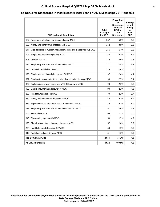## **Critical Access Hospital Q4FY21 Top DRGs Mississippi 22**

#### **Top DRGs for Discharges in Most Recent Fiscal Year, FY2021, Mississippi, 31 Hospitals**

| <b>DRG code and Description</b>                                                | Total<br><b>Discharges</b><br>for DRG | Proportion<br>οf<br><b>Discharges</b><br>for Each<br><b>DRG</b> to<br><b>Total</b><br><b>Discharges</b> | Average<br>Length<br>of Stay<br>for<br>Each<br><b>DRG</b> |
|--------------------------------------------------------------------------------|---------------------------------------|---------------------------------------------------------------------------------------------------------|-----------------------------------------------------------|
| 177 : Respiratory infections and inflammations w MCC                           | 667                                   | 16.5%                                                                                                   | 5.2                                                       |
| 690 : Kidney and urinary tract infections w/o MCC                              | 342                                   | 8.5%                                                                                                    | 3.8                                                       |
| 641 : Misc disorders of nutrition, metabolism, fluids and electrolytes w/o MCC | 256                                   | 6.4%                                                                                                    | 3.5                                                       |
| 194 : Simple pneumonia and pleurisy w CC                                       | 250                                   | 6.2%                                                                                                    | 4.2                                                       |
| 603 : Cellulitis w/o MCC                                                       | 119                                   | 3.0%                                                                                                    | 3.7                                                       |
| 178 : Respiratory infections and inflammations w CC                            | 117                                   | 2.9%                                                                                                    | 4.9                                                       |
| 291 : Heart failure and shock w MCC                                            | 113                                   | 2.8%                                                                                                    | 3.8                                                       |
| 195 : Simple pneumonia and pleurisy w/o CC/MCC                                 | 97                                    | 2.4%                                                                                                    | 4.1                                                       |
| 392 : Esophagitis, gastroenteritis and misc digestive disorders w/o MCC        | 93                                    | 2.3%                                                                                                    | 3.4                                                       |
| 872 : Septicemia or severe sepsis w/o MV >96 hours w/o MCC                     | 93                                    | 2.3%                                                                                                    | 3.8                                                       |
| 193 : Simple pneumonia and pleurisy w MCC                                      | 90                                    | 2.2%                                                                                                    | 4.3                                                       |
| 292 : Heart failure and shock w CC                                             | 89                                    | 2.2%                                                                                                    | 3.7                                                       |
| 689 : Kidney and urinary tract infections w MCC                                | 89                                    | 2.2%                                                                                                    | 4.2                                                       |
| 871 : Septicemia or severe sepsis w/o MV >96 hours w MCC                       | 89                                    | 2.2%                                                                                                    | 4.9                                                       |
| 179 : Respiratory infections and inflammations w/o CC/MCC                      | 81                                    | 2.0%                                                                                                    | 5.7                                                       |
| 683 : Renal failure w CC                                                       | 69                                    | 1.7%                                                                                                    | 3.6                                                       |
| 948 : Signs and symptoms w/o MCC                                               | 59                                    | 1.5%                                                                                                    | 4.2                                                       |
| 190 : Chronic obstructive pulmonary disease w MCC                              | 57                                    | 1.4%                                                                                                    | 3.9                                                       |
| 293 : Heart failure and shock w/o CC/MCC                                       | 53                                    | 1.3%                                                                                                    | 3.5                                                       |
| 812 : Red blood cell disorders w/o MCC                                         | 51                                    | 1.3%                                                                                                    | 3.3                                                       |
| <b>Top DRGs Statewide</b>                                                      | 2,874                                 | 71.3%                                                                                                   | 4.3                                                       |
| <b>All DRGs Statewide</b>                                                      | 4,032                                 | 100.0%                                                                                                  | 4.2                                                       |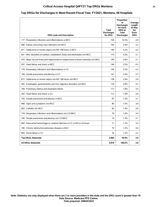## **Critical Access Hospital Q4FY21 Top DRGs Montana 23**

#### **Top DRGs for Discharges in Most Recent Fiscal Year, FY2021, Montana, 49 Hospitals**

| <b>DRG code and Description</b>                                                       | <b>Total</b><br><b>Discharges</b><br>for DRG | Proportion<br>οf<br><b>Discharges</b><br>for Each<br><b>DRG</b> to<br><b>Total</b><br><b>Discharges</b> | Average<br>Length<br>of Stay<br>for<br>Each<br><b>DRG</b> |
|---------------------------------------------------------------------------------------|----------------------------------------------|---------------------------------------------------------------------------------------------------------|-----------------------------------------------------------|
| 177 : Respiratory infections and inflammations w MCC                                  | 728                                          | 12.5%                                                                                                   | 4.9                                                       |
| 690 : Kidney and urinary tract infections w/o MCC                                     | 195                                          | 3.4%                                                                                                    | 3.2                                                       |
| 871 : Septicemia or severe sepsis w/o MV >96 hours w MCC                              | 184                                          | 3.2%                                                                                                    | 4.2                                                       |
| 641 : Misc disorders of nutrition, metabolism, fluids and electrolytes w/o MCC        | 174                                          | 3.0%                                                                                                    | 3.1                                                       |
| 470 : Major hip and knee joint replacement or reattachment of lower extremity w/o MCC | 149                                          | 2.6%                                                                                                    | 2.1                                                       |
| 291 : Heart failure and shock w MCC                                                   | 146                                          | 2.5%                                                                                                    | 4.5                                                       |
| 178 : Respiratory infections and inflammations w CC                                   | 145                                          | 2.5%                                                                                                    | 4.3                                                       |
| 194 : Simple pneumonia and pleurisy w CC                                              | 141                                          | 2.4%                                                                                                    | 3.7                                                       |
| 872 : Septicemia or severe sepsis w/o MV >96 hours w/o MCC                            | 138                                          | 2.4%                                                                                                    | 3.6                                                       |
| 392 : Esophagitis, gastroenteritis and misc digestive disorders w/o MCC               | 116                                          | 2.0%                                                                                                    | 3.2                                                       |
| 189 : Pulmonary edema and respiratory failure                                         | 113                                          | 1.9%                                                                                                    | 3.5                                                       |
| 292 : Heart failure and shock w CC                                                    | 112                                          | 1.9%                                                                                                    | 3.6                                                       |
| 193 : Simple pneumonia and pleurisy w MCC                                             | 87                                           | 1.5%                                                                                                    | 3.7                                                       |
| 948 : Signs and symptoms w/o MCC                                                      | 86                                           | 1.5%                                                                                                    | 3.8                                                       |
| 603 : Cellulitis w/o MCC                                                              | 82                                           | 1.4%                                                                                                    | 3.6                                                       |
| 179 : Respiratory infections and inflammations w/o CC/MCC                             | 79                                           | 1.4%                                                                                                    | 3.4                                                       |
| 195 : Simple pneumonia and pleurisy w/o CC/MCC                                        | 74                                           | 1.3%                                                                                                    | 3.1                                                       |
| 065 : Intracranial hemorrhage or cerebral infarction w CC or tPA in 24 hours          | 71                                           | 1.2%                                                                                                    | 3.5                                                       |
| 190 : Chronic obstructive pulmonary disease w MCC                                     | 70                                           | 1.2%                                                                                                    | 3.6                                                       |
| 683 : Renal failure w CC                                                              | 70                                           | 1.2%                                                                                                    | 3.2                                                       |
| <b>Top DRGs Statewide</b>                                                             | 2,960                                        | 50.9%                                                                                                   | 3.9                                                       |
| <b>All DRGs Statewide</b>                                                             | 5.818                                        | 100.0%                                                                                                  | 3.8                                                       |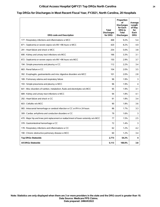## **Critical Access Hospital Q4FY21 Top DRGs North Carolina 24**

### **Top DRGs for Discharges in Most Recent Fiscal Year, FY2021, North Carolina, 20 Hospitals**

| <b>DRG code and Description</b>                                                       | <b>Total</b><br><b>Discharges</b><br>for DRG | Proportion<br>οf<br><b>Discharges</b><br>for Each<br><b>DRG</b> to<br><b>Total</b><br><b>Discharges</b> | Average<br>Length<br>of Stay<br>for<br>Each<br><b>DRG</b> |
|---------------------------------------------------------------------------------------|----------------------------------------------|---------------------------------------------------------------------------------------------------------|-----------------------------------------------------------|
| 177 : Respiratory infections and inflammations w MCC                                  | 468                                          | 9.2%                                                                                                    | 5.4                                                       |
| 871 : Septicemia or severe sepsis w/o MV >96 hours w MCC                              | 420                                          | 8.2%                                                                                                    | 4.9                                                       |
| 291 : Heart failure and shock w MCC                                                   | 254                                          | 5.0%                                                                                                    | 3.8                                                       |
| 690 : Kidney and urinary tract infections w/o MCC                                     | 166                                          | 3.3%                                                                                                    | 3.1                                                       |
| 872 : Septicemia or severe sepsis w/o MV >96 hours w/o MCC                            | 150                                          | 2.9%                                                                                                    | 3.7                                                       |
| 194 : Simple pneumonia and pleurisy w CC                                              | 112                                          | 2.2%                                                                                                    | 3.4                                                       |
| 683 : Renal failure w CC                                                              | 104                                          | 2.0%                                                                                                    | 3.5                                                       |
| 392 : Esophagitis, gastroenteritis and misc digestive disorders w/o MCC               | 101                                          | 2.0%                                                                                                    | 2.8                                                       |
| 189 : Pulmonary edema and respiratory failure                                         | 96                                           | 1.9%                                                                                                    | 3                                                         |
| 193 : Simple pneumonia and pleurisy w MCC                                             | 96                                           | 1.9%                                                                                                    | 4                                                         |
| 641 : Misc disorders of nutrition, metabolism, fluids and electrolytes w/o MCC        | 95                                           | 1.9%                                                                                                    | 3.1                                                       |
| 689 : Kidney and urinary tract infections w MCC                                       | 94                                           | 1.8%                                                                                                    | 4.1                                                       |
| 292 : Heart failure and shock w CC                                                    | 91                                           | 1.8%                                                                                                    | 3.4                                                       |
| 603 : Cellulitis w/o MCC                                                              | 90                                           | 1.8%                                                                                                    | 3.6                                                       |
| 065 : Intracranial hemorrhage or cerebral infarction w CC or tPA in 24 hours          | 86                                           | 1.7%                                                                                                    | 3.3                                                       |
| 309 : Cardiac arrhythmia and conduction disorders w CC                                | 79                                           | 1.6%                                                                                                    | 3                                                         |
| 470 : Major hip and knee joint replacement or reattachment of lower extremity w/o MCC | 77                                           | 1.5%                                                                                                    | 2.5                                                       |
| 378 : Gastrointestinal hemorrhage w CC                                                | 72                                           | 1.4%                                                                                                    | 3                                                         |
| 178 : Respiratory infections and inflammations w CC                                   | 62                                           | 1.2%                                                                                                    | 4.2                                                       |
| 190 : Chronic obstructive pulmonary disease w MCC                                     | 60                                           | 1.2%                                                                                                    | 3.4                                                       |
| <b>Top DRGs Statewide</b>                                                             | 2,773                                        | 54.2%                                                                                                   | 4                                                         |
| <b>All DRGs Statewide</b>                                                             | 5,113                                        | 100.0%                                                                                                  | 3.8                                                       |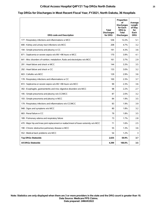## **Critical Access Hospital Q4FY21 Top DRGs North Dakota 25**

#### **Top DRGs for Discharges in Most Recent Fiscal Year, FY2021, North Dakota, 36 Hospitals**

| <b>DRG code and Description</b>                                                       | Total<br><b>Discharges</b><br>for DRG | Proportion<br>οf<br><b>Discharges</b><br>for Each<br><b>DRG</b> to<br><b>Total</b><br><b>Discharges</b> | Average<br>Length<br>of Stay<br>for<br>Each<br><b>DRG</b> |
|---------------------------------------------------------------------------------------|---------------------------------------|---------------------------------------------------------------------------------------------------------|-----------------------------------------------------------|
| 177: Respiratory infections and inflammations w MCC                                   | 536                                   | 12.2%                                                                                                   | 5.1                                                       |
| 690 : Kidney and urinary tract infections w/o MCC                                     | 208                                   | 4.7%                                                                                                    | 3.2                                                       |
| 194 : Simple pneumonia and pleurisy w CC                                              | 191                                   | 4.3%                                                                                                    | 3.6                                                       |
| 871 : Septicemia or severe sepsis w/o MV >96 hours w MCC                              | 170                                   | 3.9%                                                                                                    | 4.1                                                       |
| 641 : Misc disorders of nutrition, metabolism, fluids and electrolytes w/o MCC        | 161                                   | 3.7%                                                                                                    | 2.9                                                       |
| 291 : Heart failure and shock w MCC                                                   | 144                                   | 3.3%                                                                                                    | 3.5                                                       |
| 292 : Heart failure and shock w CC                                                    | 133                                   | 3.0%                                                                                                    | 3.2                                                       |
| 603 : Cellulitis w/o MCC                                                              | 129                                   | 2.9%                                                                                                    | 3.6                                                       |
| 178 : Respiratory infections and inflammations w CC                                   | 100                                   | 2.3%                                                                                                    | 3.7                                                       |
| 872 : Septicemia or severe sepsis w/o MV >96 hours w/o MCC                            | 99                                    | 2.3%                                                                                                    | 3.6                                                       |
| 392 : Esophagitis, gastroenteritis and misc digestive disorders w/o MCC               | 98                                    | 2.2%                                                                                                    | 2.7                                                       |
| 195 : Simple pneumonia and pleurisy w/o CC/MCC                                        | 87                                    | 2.0%                                                                                                    | 3.2                                                       |
| 193 : Simple pneumonia and pleurisy w MCC                                             | 84                                    | 1.9%                                                                                                    | 3.5                                                       |
| 179 : Respiratory infections and inflammations w/o CC/MCC                             | 83                                    | 1.9%                                                                                                    | 3.9                                                       |
| 948 : Signs and symptoms w/o MCC                                                      | 80                                    | 1.8%                                                                                                    | 3.2                                                       |
| 683 : Renal failure w CC                                                              | 79                                    | 1.8%                                                                                                    | 3.5                                                       |
| 189 : Pulmonary edema and respiratory failure                                         | 73                                    | 1.7%                                                                                                    | 2.8                                                       |
| 470 : Major hip and knee joint replacement or reattachment of lower extremity w/o MCC | 71                                    | 1.6%                                                                                                    | 2.5                                                       |
| 190 : Chronic obstructive pulmonary disease w MCC                                     | 55                                    | 1.3%                                                                                                    | 3.6                                                       |
| 552 : Medical back problems w/o MCC                                                   | 54                                    | 1.2%                                                                                                    | 3                                                         |
| <b>Top DRGs Statewide</b>                                                             | 2,635                                 | 59.9%                                                                                                   | 3.7                                                       |
| <b>All DRGs Statewide</b>                                                             | 4,399                                 | 100.0%                                                                                                  | 3.5                                                       |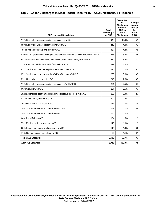## **Critical Access Hospital Q4FY21 Top DRGs Nebraska 26**

#### **Top DRGs for Discharges in Most Recent Fiscal Year, FY2021, Nebraska, 64 Hospitals**

| <b>DRG code and Description</b>                                                       | Total<br><b>Discharges</b><br>for DRG | Proportion<br>οf<br><b>Discharges</b><br>for Each<br><b>DRG</b> to<br>Total<br><b>Discharges</b> | Average<br>Lenath<br>of Stay<br>for<br>Each<br><b>DRG</b> |
|---------------------------------------------------------------------------------------|---------------------------------------|--------------------------------------------------------------------------------------------------|-----------------------------------------------------------|
| 177 : Respiratory infections and inflammations w MCC                                  | 949                                   | 10.9%                                                                                            | 5.1                                                       |
| 690 : Kidney and urinary tract infections w/o MCC                                     | 415                                   | 4.8%                                                                                             | 3.3                                                       |
| 194 : Simple pneumonia and pleurisy w CC                                              | 387                                   | 4.4%                                                                                             | 3.9                                                       |
| 470 : Major hip and knee joint replacement or reattachment of lower extremity w/o MCC | 285                                   | 3.3%                                                                                             | 2.6                                                       |
| 641 : Misc disorders of nutrition, metabolism, fluids and electrolytes w/o MCC        | 282                                   | 3.2%                                                                                             | 3.1                                                       |
| 178 : Respiratory infections and inflammations w CC                                   | 279                                   | 3.2%                                                                                             | 4.2                                                       |
| 871 : Septicemia or severe sepsis w/o MV >96 hours w MCC                              | 270                                   | 3.1%                                                                                             | 3.7                                                       |
| 872 : Septicemia or severe sepsis w/o MV >96 hours w/o MCC                            | 263                                   | 3.0%                                                                                             | 3.5                                                       |
| 292 : Heart failure and shock w CC                                                    | 240                                   | 2.8%                                                                                             | 3.5                                                       |
| 179 : Respiratory infections and inflammations w/o CC/MCC                             | 221                                   | 2.5%                                                                                             | 3.3                                                       |
| 603 : Cellulitis w/o MCC                                                              | 221                                   | 2.5%                                                                                             | 3.7                                                       |
| 392 : Esophagitis, gastroenteritis and misc digestive disorders w/o MCC               | 202                                   | 2.3%                                                                                             | 2.7                                                       |
| 948 : Signs and symptoms w/o MCC                                                      | 202                                   | 2.3%                                                                                             | 3                                                         |
| 291 : Heart failure and shock w MCC                                                   | 171                                   | 2.0%                                                                                             | 3.8                                                       |
| 195 : Simple pneumonia and pleurisy w/o CC/MCC                                        | 149                                   | 1.7%                                                                                             | 3.4                                                       |
| 193 : Simple pneumonia and pleurisy w MCC                                             | 140                                   | 1.6%                                                                                             | 4.1                                                       |
| 683 : Renal failure w CC                                                              | 134                                   | 1.5%                                                                                             | 3                                                         |
| 552 : Medical back problems w/o MCC                                                   | 116                                   | 1.3%                                                                                             | 3                                                         |
| 689 : Kidney and urinary tract infections w MCC                                       | 110                                   | 1.3%                                                                                             | 3.8                                                       |
| 378 : Gastrointestinal hemorrhage w CC                                                | 96                                    | 1.1%                                                                                             | 3.1                                                       |
| <b>Top DRGs Statewide</b>                                                             | 5,132                                 | 58.7%                                                                                            | 3.7                                                       |
| <b>All DRGs Statewide</b>                                                             | 8,743                                 | 100.0%                                                                                           | 3.5                                                       |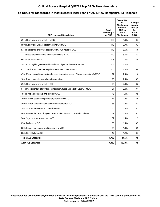## **Critical Access Hospital Q4FY21 Top DRGs New Hampshire 27**

# **Top DRGs for Discharges in Most Recent Fiscal Year, FY2021, New Hampshire, 13 Hospitals**

| <b>DRG code and Description</b>                                                       | Total<br><b>Discharges</b><br>for DRG | Proportion<br>οf<br><b>Discharges</b><br>for Each<br>DRG to<br><b>Total</b><br><b>Discharges</b> | Average<br>Length<br>of Stay<br>for<br>Each<br><b>DRG</b> |
|---------------------------------------------------------------------------------------|---------------------------------------|--------------------------------------------------------------------------------------------------|-----------------------------------------------------------|
| 291 : Heart failure and shock w MCC                                                   | 160                                   | 4.0%                                                                                             | 3.7                                                       |
| 690 : Kidney and urinary tract infections w/o MCC                                     | 148                                   | 3.7%                                                                                             | 3.3                                                       |
| 871 : Septicemia or severe sepsis w/o MV >96 hours w MCC                              | 140                                   | 3.5%                                                                                             | 4.6                                                       |
| 177 : Respiratory infections and inflammations w MCC                                  | 120                                   | 3.0%                                                                                             | 5.3                                                       |
| 603 : Cellulitis w/o MCC                                                              | 108                                   | 2.7%                                                                                             | 3.5                                                       |
| 392 : Esophagitis, gastroenteritis and misc digestive disorders w/o MCC               | 105                                   | 2.6%                                                                                             | 3                                                         |
| 872 : Septicemia or severe sepsis w/o MV >96 hours w/o MCC                            | 100                                   | 2.5%                                                                                             | 3.6                                                       |
| 470 : Major hip and knee joint replacement or reattachment of lower extremity w/o MCC | 97                                    | 2.4%                                                                                             | 1.6                                                       |
| 189 : Pulmonary edema and respiratory failure                                         | 96                                    | 2.4%                                                                                             | 3.3                                                       |
| 292 : Heart failure and shock w CC                                                    | 95                                    | 2.4%                                                                                             | 3.2                                                       |
| 641 : Misc disorders of nutrition, metabolism, fluids and electrolytes w/o MCC        | 81                                    | 2.0%                                                                                             | 3.1                                                       |
| 194 : Simple pneumonia and pleurisy w CC                                              | 76                                    | 1.9%                                                                                             | 3.5                                                       |
| 190 : Chronic obstructive pulmonary disease w MCC                                     | 74                                    | 1.8%                                                                                             | 3.5                                                       |
| 309 : Cardiac arrhythmia and conduction disorders w CC                                | 63                                    | 1.6%                                                                                             | 2.3                                                       |
| 193 : Simple pneumonia and pleurisy w MCC                                             | 60                                    | 1.5%                                                                                             | 3.7                                                       |
| 065 : Intracranial hemorrhage or cerebral infarction w CC or tPA in 24 hours          | 59                                    | 1.5%                                                                                             | 3.1                                                       |
| 948 : Signs and symptoms w/o MCC                                                      | 57                                    | 1.4%                                                                                             | 3                                                         |
| 638 : Diabetes w CC                                                                   | 55                                    | 1.4%                                                                                             | 3.3                                                       |
| 689 : Kidney and urinary tract infections w MCC                                       | 55                                    | 1.4%                                                                                             | 3.9                                                       |
| 683 : Renal failure w CC                                                              | 47                                    | 1.2%                                                                                             | 3.7                                                       |
| <b>Top DRGs Statewide</b>                                                             | 1,796                                 | 44.6%                                                                                            | 3.5                                                       |
| <b>All DRGs Statewide</b>                                                             | 4,030                                 | 100.0%                                                                                           | 3.5                                                       |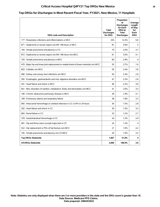## **Critical Access Hospital Q4FY21 Top DRGs New Mexico 28**

### **Top DRGs for Discharges in Most Recent Fiscal Year, FY2021, New Mexico, 11 Hospitals**

| <b>DRG code and Description</b>                                                       | <b>Total</b><br><b>Discharges</b><br>for DRG | Proportion<br>οf<br><b>Discharges</b><br>for Each<br><b>DRG</b> to<br><b>Total</b><br><b>Discharges</b> | Average<br>Lenath<br>of Stay<br>for<br>Each<br><b>DRG</b> |
|---------------------------------------------------------------------------------------|----------------------------------------------|---------------------------------------------------------------------------------------------------------|-----------------------------------------------------------|
| 177 : Respiratory infections and inflammations w MCC                                  | 255                                          | 12.4%                                                                                                   | 5.6                                                       |
| 871 : Septicemia or severe sepsis w/o MV >96 hours w MCC                              | 81                                           | 3.9%                                                                                                    | 5                                                         |
| 194 : Simple pneumonia and pleurisy w CC                                              | 70                                           | 3.4%                                                                                                    | 3.7                                                       |
| 872 : Septicemia or severe sepsis w/o MV >96 hours w/o MCC                            | 61                                           | 3.0%                                                                                                    | 4.1                                                       |
| 193 : Simple pneumonia and pleurisy w MCC                                             | 60                                           | 2.9%                                                                                                    | 4                                                         |
| 470 : Major hip and knee joint replacement or reattachment of lower extremity w/o MCC | 55                                           | 2.7%                                                                                                    | 1.6                                                       |
| 603 : Cellulitis w/o MCC                                                              | 50                                           | 2.4%                                                                                                    | 3.9                                                       |
| 690 : Kidney and urinary tract infections w/o MCC                                     | 50                                           | 2.4%                                                                                                    | 2.9                                                       |
| 392 : Esophagitis, gastroenteritis and misc digestive disorders w/o MCC               | 47                                           | 2.3%                                                                                                    | 2.6                                                       |
| 291 : Heart failure and shock w MCC                                                   | 46                                           | 2.2%                                                                                                    | 3.9                                                       |
| 641 : Misc disorders of nutrition, metabolism, fluids and electrolytes w/o MCC        | 41                                           | 2.0%                                                                                                    | 3.5                                                       |
| 190 : Chronic obstructive pulmonary disease w MCC                                     | 39                                           | 1.9%                                                                                                    | 4.1                                                       |
| 189 : Pulmonary edema and respiratory failure                                         | 38                                           | 1.8%                                                                                                    | 3.3                                                       |
| 065 : Intracranial hemorrhage or cerebral infarction w CC or tPA in 24 hours          | 30                                           | 1.5%                                                                                                    | 2.8                                                       |
| 292 : Heart failure and shock w CC                                                    | 30                                           | 1.5%                                                                                                    | 3.4                                                       |
| 683 : Renal failure w CC                                                              | 25                                           | 1.2%                                                                                                    | 2.7                                                       |
| 378 : Gastrointestinal hemorrhage w CC                                                | 24                                           | 1.2%                                                                                                    | 2.8                                                       |
| 481 : Hip and femur procs except major joint w CC                                     | 24                                           | 1.2%                                                                                                    | 4                                                         |
| 522 : Hip replacement w PDx of hip fracture w/o MCC                                   | 21                                           | 1.0%                                                                                                    | 4.2                                                       |
| 195 : Simple pneumonia and pleurisy w/o CC/MCC                                        | 20                                           | 1.0%                                                                                                    | 3.5                                                       |
| <b>Top DRGs Statewide</b>                                                             | 1,067                                        | 51.8%                                                                                                   | 4                                                         |
| <b>All DRGs Statewide</b>                                                             | 2,060                                        | 100.0%                                                                                                  | 3.9                                                       |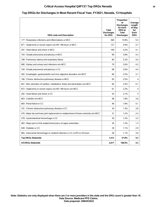## **Critical Access Hospital Q4FY21 Top DRGs Nevada 29**

#### **Top DRGs for Discharges in Most Recent Fiscal Year, FY2021, Nevada, 13 Hospitals**

| <b>DRG code and Description</b>                                                       | Total<br><b>Discharges</b><br>for DRG | Proportion<br>οf<br><b>Discharges</b><br>for Each<br>DRG to<br><b>Total</b><br><b>Discharges</b> | Average<br>Length<br>of Stay<br>for<br>Each<br><b>DRG</b> |
|---------------------------------------------------------------------------------------|---------------------------------------|--------------------------------------------------------------------------------------------------|-----------------------------------------------------------|
| 177 : Respiratory infections and inflammations w MCC                                  | 360                                   | 13.8%                                                                                            | 5.5                                                       |
| 871 : Septicemia or severe sepsis w/o MV >96 hours w MCC                              | 127                                   | 4.9%                                                                                             | 4.7                                                       |
| 291 : Heart failure and shock w MCC                                                   | 109                                   | 4.2%                                                                                             | 4.1                                                       |
| 193 : Simple pneumonia and pleurisy w MCC                                             | 99                                    | 3.8%                                                                                             | 4.3                                                       |
| 189 : Pulmonary edema and respiratory failure                                         | 84                                    | 3.2%                                                                                             | 4.4                                                       |
| 690 : Kidney and urinary tract infections w/o MCC                                     | 79                                    | 3.0%                                                                                             | 4.3                                                       |
| 194 : Simple pneumonia and pleurisy w CC                                              | 68                                    | 2.6%                                                                                             | 4.4                                                       |
| 392 : Esophagitis, gastroenteritis and misc digestive disorders w/o MCC               | 66                                    | 2.5%                                                                                             | 3.1                                                       |
| 190 : Chronic obstructive pulmonary disease w MCC                                     | 65                                    | 2.5%                                                                                             | 4                                                         |
| 641 : Misc disorders of nutrition, metabolism, fluids and electrolytes w/o MCC        | 64                                    | 2.5%                                                                                             | 5.7                                                       |
| 872 : Septicemia or severe sepsis w/o MV >96 hours w/o MCC                            | 61                                    | 2.3%                                                                                             | 4                                                         |
| 292 : Heart failure and shock w CC                                                    | 54                                    | 2.1%                                                                                             | 3                                                         |
| 603 : Cellulitis w/o MCC                                                              | 48                                    | 1.8%                                                                                             | 3.6                                                       |
| 683 : Renal failure w CC                                                              | 46                                    | 1.8%                                                                                             | 4.1                                                       |
| 191 : Chronic obstructive pulmonary disease w CC                                      | 34                                    | 1.3%                                                                                             | 3.6                                                       |
| 470 : Major hip and knee joint replacement or reattachment of lower extremity w/o MCC | 31                                    | 1.2%                                                                                             | 2.4                                                       |
| 378 : Gastrointestinal hemorrhage w CC                                                | 30                                    | 1.2%                                                                                             | 3.3                                                       |
| 483 : Major joint or limb reattachment procs of upper extremities                     | 30                                    | 1.2%                                                                                             | 1.3                                                       |
| 638 : Diabetes w CC                                                                   | 29                                    | 1.1%                                                                                             | 2.9                                                       |
| 065 : Intracranial hemorrhage or cerebral infarction w CC or tPA in 24 hours          | 28                                    | 1.1%                                                                                             | 3.6                                                       |
| <b>Top DRGs Statewide</b>                                                             | 1,512                                 | 57.8%                                                                                            | 4.3                                                       |
| All DRGs Statewide                                                                    | 2,617                                 | 100.0%                                                                                           | 4.3                                                       |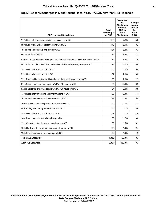## **Critical Access Hospital Q4FY21 Top DRGs New York 30**

#### **Top DRGs for Discharges in Most Recent Fiscal Year, FY2021, New York, 18 Hospitals**

| <b>DRG code and Description</b>                                                       | Total<br><b>Discharges</b><br>for DRG | Proportion<br>οf<br><b>Discharges</b><br>for Each<br>DRG to<br><b>Total</b><br><b>Discharges</b> | Average<br>Length<br>of Stay<br>for<br>Each<br><b>DRG</b> |
|---------------------------------------------------------------------------------------|---------------------------------------|--------------------------------------------------------------------------------------------------|-----------------------------------------------------------|
| 177 : Respiratory infections and inflammations w MCC                                  | 165                                   | 7.2%                                                                                             | 5.6                                                       |
| 690 : Kidney and urinary tract infections w/o MCC                                     | 140                                   | 6.1%                                                                                             | 3.2                                                       |
| 194 : Simple pneumonia and pleurisy w CC                                              | 134                                   | 5.8%                                                                                             | 3.7                                                       |
| 603 : Cellulitis w/o MCC                                                              | 87                                    | 3.8%                                                                                             | 4.1                                                       |
| 470 : Major hip and knee joint replacement or reattachment of lower extremity w/o MCC | 84                                    | 3.6%                                                                                             | 1.9                                                       |
| 641 : Misc disorders of nutrition, metabolism, fluids and electrolytes w/o MCC        | 72                                    | 3.1%                                                                                             | 3.4                                                       |
| 291 : Heart failure and shock w MCC                                                   | 68                                    | 3.0%                                                                                             | 3.9                                                       |
| 292 : Heart failure and shock w CC                                                    | 67                                    | 2.9%                                                                                             | 3.8                                                       |
| 392 : Esophagitis, gastroenteritis and misc digestive disorders w/o MCC               | 66                                    | 2.9%                                                                                             | 2.9                                                       |
| 871 : Septicemia or severe sepsis w/o MV >96 hours w MCC                              | 64                                    | 2.8%                                                                                             | 3.9                                                       |
| 872 : Septicemia or severe sepsis w/o MV >96 hours w/o MCC                            | 64                                    | 2.8%                                                                                             | 3.8                                                       |
| 178 : Respiratory infections and inflammations w CC                                   | 53                                    | 2.3%                                                                                             | 4.4                                                       |
| 195 : Simple pneumonia and pleurisy w/o CC/MCC                                        | 53                                    | 2.3%                                                                                             | 2.8                                                       |
| 190 : Chronic obstructive pulmonary disease w MCC                                     | 49                                    | 2.1%                                                                                             | 3.7                                                       |
| 689 : Kidney and urinary tract infections w MCC                                       | 40                                    | 1.7%                                                                                             | 3.6                                                       |
| 293 : Heart failure and shock w/o CC/MCC                                              | 39                                    | 1.7%                                                                                             | 2.9                                                       |
| 189 : Pulmonary edema and respiratory failure                                         | 38                                    | 1.7%                                                                                             | 3.6                                                       |
| 191 : Chronic obstructive pulmonary disease w CC                                      | 35                                    | 1.5%                                                                                             | 3.1                                                       |
| 309 : Cardiac arrhythmia and conduction disorders w CC                                | 33                                    | 1.4%                                                                                             | 2.4                                                       |
| 193 : Simple pneumonia and pleurisy w MCC                                             | 32                                    | 1.4%                                                                                             | 4.5                                                       |
| <b>Top DRGs Statewide</b>                                                             | 1,383                                 | 60.0%                                                                                            | 3.7                                                       |
| All DRGs Statewide                                                                    | 2.307                                 | 100.0%                                                                                           | 3.7                                                       |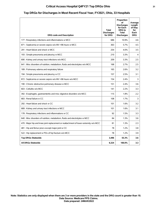#### **Top DRGs for Discharges in Most Recent Fiscal Year, FY2021, Ohio, 33 Hospitals**

| <b>DRG code and Description</b>                                                       | Total<br><b>Discharges</b><br>for DRG | Proportion<br>οf<br><b>Discharges</b><br>for Each<br>DRG to<br><b>Total</b><br><b>Discharges</b> | Average<br>Length<br>of Stay<br>for<br>Each<br><b>DRG</b> |
|---------------------------------------------------------------------------------------|---------------------------------------|--------------------------------------------------------------------------------------------------|-----------------------------------------------------------|
| 177 : Respiratory infections and inflammations w MCC                                  | 686                                   | 10.9%                                                                                            | 4.6                                                       |
| 871 : Septicemia or severe sepsis w/o MV >96 hours w MCC                              | 363                                   | 5.7%                                                                                             | 4.5                                                       |
| 291 : Heart failure and shock w MCC                                                   | 254                                   | 4.0%                                                                                             | 3.5                                                       |
| 193 : Simple pneumonia and pleurisy w MCC                                             | 210                                   | 3.3%                                                                                             | 4                                                         |
| 690 : Kidney and urinary tract infections w/o MCC                                     | 209                                   | 3.3%                                                                                             | 2.5                                                       |
| 641 : Misc disorders of nutrition, metabolism, fluids and electrolytes w/o MCC        | 168                                   | 2.7%                                                                                             | 2.5                                                       |
| 189 : Pulmonary edema and respiratory failure                                         | 165                                   | 2.6%                                                                                             | 3.2                                                       |
| 194 : Simple pneumonia and pleurisy w CC                                              | 157                                   | 2.5%                                                                                             | 3.1                                                       |
| 872 : Septicemia or severe sepsis w/o MV >96 hours w/o MCC                            | 154                                   | 2.4%                                                                                             | 3                                                         |
| 190 : Chronic obstructive pulmonary disease w MCC                                     | 151                                   | 2.4%                                                                                             | 3.6                                                       |
| 603 : Cellulitis w/o MCC                                                              | 141                                   | 2.2%                                                                                             | 3.3                                                       |
| 392 : Esophagitis, gastroenteritis and misc digestive disorders w/o MCC               | 115                                   | 1.8%                                                                                             | 2.2                                                       |
| 683 : Renal failure w CC                                                              | 108                                   | 1.7%                                                                                             | 3                                                         |
| 292 : Heart failure and shock w CC                                                    | 101                                   | 1.6%                                                                                             | 3.2                                                       |
| 689 : Kidney and urinary tract infections w MCC                                       | 101                                   | 1.6%                                                                                             | 3.1                                                       |
| 178 : Respiratory infections and inflammations w CC                                   | 92                                    | 1.5%                                                                                             | 3.3                                                       |
| 640 : Misc disorders of nutrition, metabolism, fluids and electrolytes w MCC          | 84                                    | 1.3%                                                                                             | 3.6                                                       |
| 470 : Major hip and knee joint replacement or reattachment of lower extremity w/o MCC | 81                                    | 1.3%                                                                                             | 2.3                                                       |
| 481 : Hip and femur procs except major joint w CC                                     | 78                                    | 1.2%                                                                                             | 3.8                                                       |
| 522 : Hip replacement w PDx of hip fracture w/o MCC                                   | 78                                    | 1.2%                                                                                             | 3.9                                                       |
| <b>Top DRGs Statewide</b>                                                             | 3,496                                 | 55.3%                                                                                            | 3.6                                                       |
| All DRGs Statewide                                                                    | 6,324                                 | 100.0%                                                                                           | 3.3                                                       |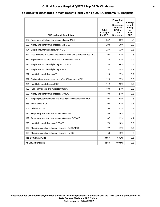## **Critical Access Hospital Q4FY21 Top DRGs Oklahoma 32**

#### **Top DRGs for Discharges in Most Recent Fiscal Year, FY2021, Oklahoma, 40 Hospitals**

| <b>DRG code and Description</b>                                                | <b>Total</b><br><b>Discharges</b><br>for DRG | Proportion<br>οf<br><b>Discharges</b><br>for Each<br>DRG to<br><b>Total</b><br><b>Discharges</b> | Average<br>Length<br>of Stay<br>for<br>Each<br><b>DRG</b> |
|--------------------------------------------------------------------------------|----------------------------------------------|--------------------------------------------------------------------------------------------------|-----------------------------------------------------------|
| 177 : Respiratory infections and inflammations w MCC                           | 657                                          | 14.5%                                                                                            | 4.7                                                       |
| 690 : Kidney and urinary tract infections w/o MCC                              | 298                                          | 6.6%                                                                                             | 3.5                                                       |
| 194 : Simple pneumonia and pleurisy w CC                                       | 237                                          | 5.3%                                                                                             | 3.6                                                       |
| 641 : Misc disorders of nutrition, metabolism, fluids and electrolytes w/o MCC | 195                                          | 4.3%                                                                                             | 3                                                         |
| 871 : Septicemia or severe sepsis w/o MV >96 hours w MCC                       | 150                                          | 3.3%                                                                                             | 3.9                                                       |
| 195 : Simple pneumonia and pleurisy w/o CC/MCC                                 | 136                                          | 3.0%                                                                                             | 3.5                                                       |
| 193 : Simple pneumonia and pleurisy w MCC                                      | 132                                          | 2.9%                                                                                             | 4.1                                                       |
| 292 : Heart failure and shock w CC                                             | 124                                          | 2.7%                                                                                             | 3.7                                                       |
| 872 : Septicemia or severe sepsis w/o MV >96 hours w/o MCC                     | 120                                          | 2.7%                                                                                             | 3.6                                                       |
| 291 : Heart failure and shock w MCC                                            | 112                                          | 2.5%                                                                                             | 3.8                                                       |
| 189 : Pulmonary edema and respiratory failure                                  | 109                                          | 2.4%                                                                                             | 3.6                                                       |
| 689 : Kidney and urinary tract infections w MCC                                | 109                                          | 2.4%                                                                                             | 3.8                                                       |
| 392 : Esophagitis, gastroenteritis and misc digestive disorders w/o MCC        | 107                                          | 2.4%                                                                                             | 3                                                         |
| 683 : Renal failure w CC                                                       | 104                                          | 2.3%                                                                                             | 3.5                                                       |
| 603 : Cellulitis w/o MCC                                                       | 98                                           | 2.2%                                                                                             | 3.4                                                       |
| 178 : Respiratory infections and inflammations w CC                            | 88                                           | 2.0%                                                                                             | 3.8                                                       |
| 179 : Respiratory infections and inflammations w/o CC/MCC                      | 87                                           | 1.9%                                                                                             | 4.1                                                       |
| 293 : Heart failure and shock w/o CC/MCC                                       | 79                                           | 1.8%                                                                                             | 3.3                                                       |
| 192 : Chronic obstructive pulmonary disease w/o CC/MCC                         | 77                                           | 1.7%                                                                                             | 3.2                                                       |
| 190 : Chronic obstructive pulmonary disease w MCC                              | 68                                           | 1.5%                                                                                             | 3                                                         |
| <b>Top DRGs Statewide</b>                                                      | 3,087                                        | 68.3%                                                                                            | 3.8                                                       |
| <b>All DRGs Statewide</b>                                                      | 4,518                                        | 100.0%                                                                                           | 3.6                                                       |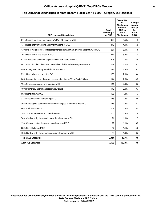## **Critical Access Hospital Q4FY21 Top DRGs Oregon 33**

#### **Top DRGs for Discharges in Most Recent Fiscal Year, FY2021, Oregon, 25 Hospitals**

| <b>DRG code and Description</b>                                                       | Total<br><b>Discharges</b><br>for DRG | Proportion<br>οf<br><b>Discharges</b><br>for Each<br><b>DRG</b> to<br>Total<br><b>Discharges</b> | Average<br>Length<br>of Stay<br>for<br>Each<br><b>DRG</b> |
|---------------------------------------------------------------------------------------|---------------------------------------|--------------------------------------------------------------------------------------------------|-----------------------------------------------------------|
| 871 : Septicemia or severe sepsis w/o MV >96 hours w MCC                              | 398                                   | 5.6%                                                                                             | 5                                                         |
| 177 : Respiratory infections and inflammations w MCC                                  | 348                                   | 4.9%                                                                                             | 5.9                                                       |
| 470 : Major hip and knee joint replacement or reattachment of lower extremity w/o MCC | 281                                   | 3.9%                                                                                             | 1.8                                                       |
| 291 : Heart failure and shock w MCC                                                   | 274                                   | 3.8%                                                                                             | 4                                                         |
| 872 : Septicemia or severe sepsis w/o MV >96 hours w/o MCC                            | 208                                   | 2.9%                                                                                             | 3.9                                                       |
| 641 : Misc disorders of nutrition, metabolism, fluids and electrolytes w/o MCC        | 189                                   | 2.6%                                                                                             | 3.1                                                       |
| 690 : Kidney and urinary tract infections w/o MCC                                     | 171                                   | 2.4%                                                                                             | 3.2                                                       |
| 292 : Heart failure and shock w CC                                                    | 165                                   | 2.3%                                                                                             | 3.4                                                       |
| 065 : Intracranial hemorrhage or cerebral infarction w CC or tPA in 24 hours          | 144                                   | 2.0%                                                                                             | 4.2                                                       |
| 194 : Simple pneumonia and pleurisy w CC                                              | 141                                   | 2.0%                                                                                             | 3.2                                                       |
| 189 : Pulmonary edema and respiratory failure                                         | 140                                   | 2.0%                                                                                             | 3.7                                                       |
| 683 : Renal failure w CC                                                              | 126                                   | 1.8%                                                                                             | 3                                                         |
| 378 : Gastrointestinal hemorrhage w CC                                                | 115                                   | 1.6%                                                                                             | 2.5                                                       |
| 392 : Esophagitis, gastroenteritis and misc digestive disorders w/o MCC               | 115                                   | 1.6%                                                                                             | 2.7                                                       |
| 603 : Cellulitis w/o MCC                                                              | 109                                   | 1.5%                                                                                             | 3.5                                                       |
| 193 : Simple pneumonia and pleurisy w MCC                                             | 100                                   | 1.4%                                                                                             | 4                                                         |
| 309 : Cardiac arrhythmia and conduction disorders w CC                                | 91                                    | 1.3%                                                                                             | 2.5                                                       |
| 190 : Chronic obstructive pulmonary disease w MCC                                     | 79                                    | 1.1%                                                                                             | 3.2                                                       |
| 682 : Renal failure w MCC                                                             | 77                                    | 1.1%                                                                                             | 4.6                                                       |
| 308 : Cardiac arrhythmia and conduction disorders w MCC                               | 73                                    | 1.0%                                                                                             | 3.2                                                       |
| <b>Top DRGs Statewide</b>                                                             | 3,344                                 | 46.7%                                                                                            | 3.8                                                       |
| <b>All DRGs Statewide</b>                                                             | 7,158                                 | 100.0%                                                                                           | 3.8                                                       |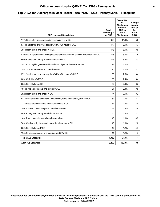## **Critical Access Hospital Q4FY21 Top DRGs Pennsylvania 34**

# **Top DRGs for Discharges in Most Recent Fiscal Year, FY2021, Pennsylvania, 16 Hospitals**

| <b>DRG code and Description</b>                                                       | <b>Total</b><br><b>Discharges</b><br>for DRG | Proportion<br>οf<br><b>Discharges</b><br>for Each<br><b>DRG</b> to<br><b>Total</b><br><b>Discharges</b> | Average<br>Length<br>of Stay<br>for<br>Each<br><b>DRG</b> |
|---------------------------------------------------------------------------------------|----------------------------------------------|---------------------------------------------------------------------------------------------------------|-----------------------------------------------------------|
| 177 : Respiratory infections and inflammations w MCC                                  | 393                                          | 11.4%                                                                                                   | 5.8                                                       |
| 871 : Septicemia or severe sepsis w/o MV >96 hours w MCC                              | 177                                          | 5.1%                                                                                                    | 4.7                                                       |
| 291 : Heart failure and shock w MCC                                                   | 175                                          | 5.1%                                                                                                    | 3.9                                                       |
| 470 : Major hip and knee joint replacement or reattachment of lower extremity w/o MCC | 128                                          | 3.7%                                                                                                    | 1.6                                                       |
| 690 : Kidney and urinary tract infections w/o MCC                                     | 126                                          | 3.6%                                                                                                    | 3.3                                                       |
| 392 : Esophagitis, gastroenteritis and misc digestive disorders w/o MCC               | 91                                           | 2.6%                                                                                                    | 3                                                         |
| 193 : Simple pneumonia and pleurisy w MCC                                             | 90                                           | 2.6%                                                                                                    | 4.3                                                       |
| 872 : Septicemia or severe sepsis w/o MV >96 hours w/o MCC                            | 88                                           | 2.5%                                                                                                    | 3.4                                                       |
| 603 : Cellulitis w/o MCC                                                              | 83                                           | 2.4%                                                                                                    | 3.4                                                       |
| 683 : Renal failure w CC                                                              | 82                                           | 2.4%                                                                                                    | 3.2                                                       |
| 194 : Simple pneumonia and pleurisy w CC                                              | 81                                           | 2.3%                                                                                                    | 3.9                                                       |
| 292 : Heart failure and shock w CC                                                    | 74                                           | 2.1%                                                                                                    | 3.2                                                       |
| 641 : Misc disorders of nutrition, metabolism, fluids and electrolytes w/o MCC        | 67                                           | 1.9%                                                                                                    | 3.2                                                       |
| 178 : Respiratory infections and inflammations w CC                                   | 51                                           | 1.5%                                                                                                    | 4.4                                                       |
| 190 : Chronic obstructive pulmonary disease w MCC                                     | 51                                           | 1.5%                                                                                                    | 4.4                                                       |
| 689 : Kidney and urinary tract infections w MCC                                       | 50                                           | 1.5%                                                                                                    | 4.3                                                       |
| 189 : Pulmonary edema and respiratory failure                                         | 46                                           | 1.3%                                                                                                    | 4.2                                                       |
| 309 : Cardiac arrhythmia and conduction disorders w CC                                | 46                                           | 1.3%                                                                                                    | 2.8                                                       |
| 682 : Renal failure w MCC                                                             | 42                                           | 1.2%                                                                                                    | 4.7                                                       |
| 195 : Simple pneumonia and pleurisy w/o CC/MCC                                        | 41                                           | 1.2%                                                                                                    | 3                                                         |
| <b>Top DRGs Statewide</b>                                                             | 1,982                                        | 57.3%                                                                                                   | 4                                                         |
| <b>All DRGs Statewide</b>                                                             | 3,459                                        | 100.0%                                                                                                  | 3.8                                                       |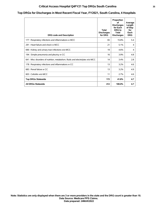## **Critical Access Hospital Q4FY21 Top DRGs South Carolina 35**

### **Top DRGs for Discharges in Most Recent Fiscal Year, FY2021, South Carolina, 4 Hospitals**

| <b>DRG code and Description</b>                                                | Total<br><b>Discharges</b><br>for DRG | Proportion<br>οf<br><b>Discharges</b><br>for Each<br>DRG to<br>Total<br><b>Discharges</b> | Average<br>Length<br>of Stay<br>for<br>Each<br><b>DRG</b> |
|--------------------------------------------------------------------------------|---------------------------------------|-------------------------------------------------------------------------------------------|-----------------------------------------------------------|
| 177 : Respiratory infections and inflammations w MCC                           | 65                                    | 15.8%                                                                                     | 5.4                                                       |
| 291 : Heart failure and shock w MCC                                            | 21                                    | 5.1%                                                                                      | 4                                                         |
| 690 : Kidney and urinary tract infections w/o MCC                              | 19                                    | 4.6%                                                                                      | 4                                                         |
| 194 : Simple pneumonia and pleurisy w CC                                       | 16                                    | 3.9%                                                                                      | 4.8                                                       |
| 641 : Misc disorders of nutrition, metabolism, fluids and electrolytes w/o MCC | 14                                    | 3.4%                                                                                      | 2.8                                                       |
| 178 : Respiratory infections and inflammations w CC                            | 13                                    | 3.2%                                                                                      | 4.6                                                       |
| 683 : Renal failure w CC                                                       | 13                                    | 3.2%                                                                                      | 4.9                                                       |
| 603 : Cellulitis w/o MCC                                                       | 11                                    | 2.7%                                                                                      | 4.6                                                       |
| <b>Top DRGs Statewide</b>                                                      | 172                                   | 41.8%                                                                                     | 4.7                                                       |
| <b>All DRGs Statewide</b>                                                      | 412                                   | 100.0%                                                                                    | 4.7                                                       |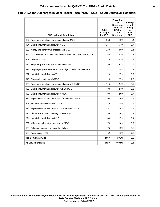## **Critical Access Hospital Q4FY21 Top DRGs South Dakota 36**

#### **Top DRGs for Discharges in Most Recent Fiscal Year, FY2021, South Dakota, 38 Hospitals**

| <b>DRG code and Description</b>                                                | Total<br><b>Discharges</b><br>for DRG | Proportion<br>οf<br><b>Discharges</b><br>for Each<br><b>DRG</b> to<br><b>Total</b><br><b>Discharges</b> | Average<br>Length<br>of Stay<br>for<br>Each<br><b>DRG</b> |
|--------------------------------------------------------------------------------|---------------------------------------|---------------------------------------------------------------------------------------------------------|-----------------------------------------------------------|
| 177 : Respiratory infections and inflammations w MCC                           | 560                                   | 11.5%                                                                                                   | 4.4                                                       |
| 194 : Simple pneumonia and pleurisy w CC                                       | 261                                   | 5.4%                                                                                                    | 3.7                                                       |
| 690 : Kidney and urinary tract infections w/o MCC                              | 233                                   | 4.8%                                                                                                    | 3.1                                                       |
| 641 : Misc disorders of nutrition, metabolism, fluids and electrolytes w/o MCC | 160                                   | 3.3%                                                                                                    | 2.7                                                       |
| 603 : Cellulitis w/o MCC                                                       | 156                                   | 3.2%                                                                                                    | 3.6                                                       |
| 178 : Respiratory infections and inflammations w CC                            | 155                                   | 3.2%                                                                                                    | 3.8                                                       |
| 392 : Esophagitis, gastroenteritis and misc digestive disorders w/o MCC        | 141                                   | 2.9%                                                                                                    | 2.7                                                       |
| 292 : Heart failure and shock w CC                                             | 129                                   | 2.7%                                                                                                    | 3.2                                                       |
| 948 : Signs and symptoms w/o MCC                                               | 119                                   | 2.5%                                                                                                    | 2.9                                                       |
| 179 : Respiratory infections and inflammations w/o CC/MCC                      | 116                                   | 2.4%                                                                                                    | 3.5                                                       |
| 195 : Simple pneumonia and pleurisy w/o CC/MCC                                 | 100                                   | 2.1%                                                                                                    | 3.3                                                       |
| 193 : Simple pneumonia and pleurisy w MCC                                      | 99                                    | 2.0%                                                                                                    | 3.7                                                       |
| 871 : Septicemia or severe sepsis w/o MV >96 hours w MCC                       | 94                                    | 1.9%                                                                                                    | 3.4                                                       |
| 293 : Heart failure and shock w/o CC/MCC                                       | 89                                    | 1.8%                                                                                                    | 3.2                                                       |
| 872 : Septicemia or severe sepsis w/o MV >96 hours w/o MCC                     | 87                                    | 1.8%                                                                                                    | 3.4                                                       |
| 190 : Chronic obstructive pulmonary disease w MCC                              | 85                                    | 1.8%                                                                                                    | 3.7                                                       |
| 291 : Heart failure and shock w MCC                                            | 80                                    | 1.7%                                                                                                    | 3.4                                                       |
| 689 : Kidney and urinary tract infections w MCC                                | 79                                    | 1.6%                                                                                                    | 3.7                                                       |
| 189 : Pulmonary edema and respiratory failure                                  | 75                                    | 1.5%                                                                                                    | 3.6                                                       |
| 683 : Renal failure w CC                                                       | 62                                    | 1.3%                                                                                                    | 2.8                                                       |
| <b>Top DRGs Statewide</b>                                                      | 2,880                                 | 59.3%                                                                                                   | 3.6                                                       |
| <b>All DRGs Statewide</b>                                                      | 4.859                                 | 100.0%                                                                                                  | 3.4                                                       |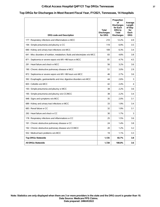## **Critical Access Hospital Q4FY21 Top DRGs Tennessee 37**

#### **Top DRGs for Discharges in Most Recent Fiscal Year, FY2021, Tennessee, 14 Hospitals**

| <b>DRG code and Description</b>                                                | <b>Total</b><br><b>Discharges</b><br>for DRG | Proportion<br>οf<br><b>Discharges</b><br>for Each<br><b>DRG</b> to<br>Total<br><b>Discharges</b> | Average<br>Length<br>of Stay<br>for<br>Each<br><b>DRG</b> |
|--------------------------------------------------------------------------------|----------------------------------------------|--------------------------------------------------------------------------------------------------|-----------------------------------------------------------|
| 177 : Respiratory infections and inflammations w MCC                           | 210                                          | 12.2%                                                                                            | 4.9                                                       |
| 194 : Simple pneumonia and pleurisy w CC                                       | 119                                          | 6.9%                                                                                             | 3.5                                                       |
| 690 : Kidney and urinary tract infections w/o MCC                              | 109                                          | 6.3%                                                                                             | 3.4                                                       |
| 641 : Misc disorders of nutrition, metabolism, fluids and electrolytes w/o MCC | 83                                           | 4.8%                                                                                             | 3.8                                                       |
| 871 : Septicemia or severe sepsis w/o MV >96 hours w MCC                       | 81                                           | 4.7%                                                                                             | 4.5                                                       |
| 291 : Heart failure and shock w MCC                                            | 56                                           | 3.2%                                                                                             | 3.6                                                       |
| 190 : Chronic obstructive pulmonary disease w MCC                              | 51                                           | 3.0%                                                                                             | 2.9                                                       |
| 872 : Septicemia or severe sepsis w/o MV >96 hours w/o MCC                     | 46                                           | 2.7%                                                                                             | 3.6                                                       |
| 392 : Esophagitis, gastroenteritis and misc digestive disorders w/o MCC        | 44                                           | 2.6%                                                                                             | 3                                                         |
| 603 : Cellulitis w/o MCC                                                       | 42                                           | 2.4%                                                                                             | 4                                                         |
| 193 : Simple pneumonia and pleurisy w MCC                                      | 38                                           | 2.2%                                                                                             | 3.6                                                       |
| 195 : Simple pneumonia and pleurisy w/o CC/MCC                                 | 38                                           | 2.2%                                                                                             | 3.4                                                       |
| 948 : Signs and symptoms w/o MCC                                               | 35                                           | 2.0%                                                                                             | 3.1                                                       |
| 689 : Kidney and urinary tract infections w MCC                                | 33                                           | 1.9%                                                                                             | 3.4                                                       |
| 683 : Renal failure w CC                                                       | 32                                           | 1.9%                                                                                             | 3.1                                                       |
| 292 : Heart failure and shock w CC                                             | 30                                           | 1.7%                                                                                             | 3                                                         |
| 178 : Respiratory infections and inflammations w CC                            | 25                                           | 1.5%                                                                                             | 3.6                                                       |
| 191 : Chronic obstructive pulmonary disease w CC                               | 24                                           | 1.4%                                                                                             | 3.8                                                       |
| 192 : Chronic obstructive pulmonary disease w/o CC/MCC                         | 20                                           | 1.2%                                                                                             | 3.2                                                       |
| 552 : Medical back problems w/o MCC                                            | 19                                           | 1.1%                                                                                             | 3.3                                                       |
| <b>Top DRGs Statewide</b>                                                      | 1,135                                        | 65.7%                                                                                            | 3.8                                                       |
| <b>All DRGs Statewide</b>                                                      | 1,728                                        | 100.0%                                                                                           | 3.6                                                       |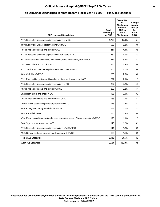## **Critical Access Hospital Q4FY21 Top DRGs Texas 38**

#### **Top DRGs for Discharges in Most Recent Fiscal Year, FY2021, Texas, 88 Hospitals**

| <b>DRG code and Description</b>                                                       | <b>Total</b><br><b>Discharges</b><br>for DRG | Proportion<br>οf<br><b>Discharges</b><br>for Each<br><b>DRG</b> to<br><b>Total</b><br><b>Discharges</b> | Average<br>Length<br>of Stay<br>for<br>Each<br><b>DRG</b> |
|---------------------------------------------------------------------------------------|----------------------------------------------|---------------------------------------------------------------------------------------------------------|-----------------------------------------------------------|
| 177 : Respiratory infections and inflammations w MCC                                  | 1,707                                        | 17.9%                                                                                                   | 5.4                                                       |
| 690 : Kidney and urinary tract infections w/o MCC                                     | 588                                          | 6.2%                                                                                                    | 3.6                                                       |
| 194 : Simple pneumonia and pleurisy w CC                                              | 411                                          | 4.3%                                                                                                    | 3.9                                                       |
| 871 : Septicemia or severe sepsis w/o MV >96 hours w MCC                              | 382                                          | 4.0%                                                                                                    | 4.3                                                       |
| 641 : Misc disorders of nutrition, metabolism, fluids and electrolytes w/o MCC        | 331                                          | 3.5%                                                                                                    | 3.2                                                       |
| 291 : Heart failure and shock w MCC                                                   | 280                                          | 2.9%                                                                                                    | 3.9                                                       |
| 872 : Septicemia or severe sepsis w/o MV >96 hours w/o MCC                            | 256                                          | 2.7%                                                                                                    | 3.8                                                       |
| 603 : Cellulitis w/o MCC                                                              | 250                                          | 2.6%                                                                                                    | 3.8                                                       |
| 392 : Esophagitis, gastroenteritis and misc digestive disorders w/o MCC               | 222                                          | 2.3%                                                                                                    | 3                                                         |
| 178 : Respiratory infections and inflammations w CC                                   | 207                                          | 2.2%                                                                                                    | 4.3                                                       |
| 193 : Simple pneumonia and pleurisy w MCC                                             | 205                                          | 2.2%                                                                                                    | 4.1                                                       |
| 292 : Heart failure and shock w CC                                                    | 186                                          | 2.0%                                                                                                    | 3.3                                                       |
| 195 : Simple pneumonia and pleurisy w/o CC/MCC                                        | 183                                          | 1.9%                                                                                                    | 3.2                                                       |
| 190 : Chronic obstructive pulmonary disease w MCC                                     | 175                                          | 1.8%                                                                                                    | 3.7                                                       |
| 689 : Kidney and urinary tract infections w MCC                                       | 158                                          | 1.7%                                                                                                    | 4.3                                                       |
| 683 : Renal failure w CC                                                              | 134                                          | 1.4%                                                                                                    | 3.4                                                       |
| 470 : Major hip and knee joint replacement or reattachment of lower extremity w/o MCC | 126                                          | 1.3%                                                                                                    | 2.3                                                       |
| 948 : Signs and symptoms w/o MCC                                                      | 118                                          | 1.2%                                                                                                    | 3.1                                                       |
| 179 : Respiratory infections and inflammations w/o CC/MCC                             | 111                                          | 1.2%                                                                                                    | 3.9                                                       |
| 192 : Chronic obstructive pulmonary disease w/o CC/MCC                                | 108                                          | 1.1%                                                                                                    | 3.5                                                       |
| <b>Top DRGs Statewide</b>                                                             | 6,138                                        | 64.5%                                                                                                   | 4.2                                                       |
| <b>All DRGs Statewide</b>                                                             | 9,524                                        | 100.0%                                                                                                  | 3.9                                                       |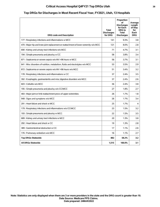#### **Top DRGs for Discharges in Most Recent Fiscal Year, FY2021, Utah, 13 Hospitals**

| <b>DRG code and Description</b>                                                       | Total<br><b>Discharges</b><br>for DRG | Proportion<br>οf<br><b>Discharges</b><br>for Each<br>DRG to<br><b>Total</b><br><b>Discharges</b> | Average<br>Length<br>of Stay<br>for<br>Each<br><b>DRG</b> |
|---------------------------------------------------------------------------------------|---------------------------------------|--------------------------------------------------------------------------------------------------|-----------------------------------------------------------|
| 177 : Respiratory infections and inflammations w MCC                                  | 141                                   | 9.3%                                                                                             | 3.8                                                       |
| 470 : Major hip and knee joint replacement or reattachment of lower extremity w/o MCC | 121                                   | 8.0%                                                                                             | 2.8                                                       |
| 690 : Kidney and urinary tract infections w/o MCC                                     | 71                                    | 4.7%                                                                                             | 3.1                                                       |
| 194 : Simple pneumonia and pleurisy w CC                                              | 58                                    | 3.8%                                                                                             | 3.4                                                       |
| 871 : Septicemia or severe sepsis w/o MV >96 hours w MCC                              | 56                                    | 3.7%                                                                                             | 3.1                                                       |
| 641 : Misc disorders of nutrition, metabolism, fluids and electrolytes w/o MCC        | 53                                    | 3.5%                                                                                             | 2.9                                                       |
| 872 : Septicemia or severe sepsis w/o MV >96 hours w/o MCC                            | 51                                    | 3.4%                                                                                             | 3.2                                                       |
| 178 : Respiratory infections and inflammations w CC                                   | 37                                    | 2.4%                                                                                             | 3.5                                                       |
| 392 : Esophagitis, gastroenteritis and misc digestive disorders w/o MCC               | 37                                    | 2.4%                                                                                             | 2.6                                                       |
| 603 : Cellulitis w/o MCC                                                              | 36                                    | 2.4%                                                                                             | 3.8                                                       |
| 195 : Simple pneumonia and pleurisy w/o CC/MCC                                        | 27                                    | 1.8%                                                                                             | 2.7                                                       |
| 483 : Major joint or limb reattachment procs of upper extremities                     | 26                                    | 1.7%                                                                                             | 1.8                                                       |
| 948 : Signs and symptoms w/o MCC                                                      | 26                                    | 1.7%                                                                                             | 3.4                                                       |
| 291 : Heart failure and shock w MCC                                                   | 25                                    | 1.7%                                                                                             | 4                                                         |
| 179 : Respiratory infections and inflammations w/o CC/MCC                             | 23                                    | 1.5%                                                                                             | 3.2                                                       |
| 193 : Simple pneumonia and pleurisy w MCC                                             | 22                                    | 1.5%                                                                                             | 3.5                                                       |
| 689 : Kidney and urinary tract infections w MCC                                       | 20                                    | 1.3%                                                                                             | 3.8                                                       |
| 292 : Heart failure and shock w CC                                                    | 19                                    | 1.3%                                                                                             | 2.8                                                       |
| 389 : Gastrointestinal obstruction w CC                                               | 17                                    | 1.1%                                                                                             | 2.6                                                       |
| 176 : Pulmonary embolism w/o MCC                                                      | 16                                    | 1.1%                                                                                             | 2.7                                                       |
| <b>Top DRGs Statewide</b>                                                             | 882                                   | 58.2%                                                                                            | 3.2                                                       |
| All DRGs Statewide                                                                    | 1,515                                 | 100.0%                                                                                           | 3.1                                                       |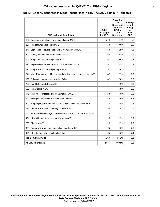## **Critical Access Hospital Q4FY21 Top DRGs Virginia 40**

#### **Top DRGs for Discharges in Most Recent Fiscal Year, FY2021, Virginia, 7 Hospitals**

| <b>DRG code and Description</b>                                                | Total<br><b>Discharges</b><br>for DRG | Proportion<br>οf<br><b>Discharges</b><br>for Each<br><b>DRG</b> to<br><b>Total</b><br><b>Discharges</b> | Average<br>Length<br>of Stay<br>for<br>Each<br><b>DRG</b> |
|--------------------------------------------------------------------------------|---------------------------------------|---------------------------------------------------------------------------------------------------------|-----------------------------------------------------------|
| 177 : Respiratory infections and inflammations w MCC                           | 244                                   | 11.4%                                                                                                   | 4.6                                                       |
| 291 : Heart failure and shock w MCC                                            | 150                                   | 7.0%                                                                                                    | 3.9                                                       |
| 871 : Septicemia or severe sepsis w/o MV >96 hours w MCC                       | 148                                   | 6.9%                                                                                                    | 4.3                                                       |
| 690 : Kidney and urinary tract infections w/o MCC                              | 68                                    | 3.2%                                                                                                    | 3.2                                                       |
| 194 : Simple pneumonia and pleurisy w CC                                       | 61                                    | 2.9%                                                                                                    | 3.8                                                       |
| 872 : Septicemia or severe sepsis w/o MV >96 hours w/o MCC                     | 57                                    | 2.7%                                                                                                    | 3.7                                                       |
| 193 : Simple pneumonia and pleurisy w MCC                                      | 51                                    | 2.4%                                                                                                    | 3.5                                                       |
| 641 : Misc disorders of nutrition, metabolism, fluids and electrolytes w/o MCC | 47                                    | 2.2%                                                                                                    | 2.9                                                       |
| 189 : Pulmonary edema and respiratory failure                                  | 42                                    | 2.0%                                                                                                    | 3.2                                                       |
| 292 : Heart failure and shock w CC                                             | 41                                    | 1.9%                                                                                                    | 3.3                                                       |
| 683 : Renal failure w CC                                                       | 41                                    | 1.9%                                                                                                    | 3.6                                                       |
| 178 : Respiratory infections and inflammations w CC                            | 38                                    | 1.8%                                                                                                    | 3.6                                                       |
| 522 : Hip replacement w PDx of hip fracture w/o MCC                            | 34                                    | 1.6%                                                                                                    | 4.8                                                       |
| 392 : Esophagitis, gastroenteritis and misc digestive disorders w/o MCC        | 33                                    | 1.5%                                                                                                    | 2.6                                                       |
| 190 : Chronic obstructive pulmonary disease w MCC                              | 30                                    | 1.4%                                                                                                    | 3                                                         |
| 065 : Intracranial hemorrhage or cerebral infarction w CC or tPA in 24 hours   | 26                                    | 1.2%                                                                                                    | 3.5                                                       |
| 481 : Hip and femur procs except major joint w CC                              | 26                                    | 1.2%                                                                                                    | 5.2                                                       |
| 638 : Diabetes w CC                                                            | 26                                    | 1.2%                                                                                                    | 2.7                                                       |
| 309 : Cardiac arrhythmia and conduction disorders w CC                         | 25                                    | 1.2%                                                                                                    | 2.5                                                       |
| 951 : Other factors influencing health status                                  | 25                                    | 1.2%                                                                                                    | 2.1                                                       |
| <b>Top DRGs Statewide</b>                                                      | 1,213                                 | 56.7%                                                                                                   | 3.8                                                       |
| <b>All DRGs Statewide</b>                                                      | 2,141                                 | 100.0%                                                                                                  | 3.8                                                       |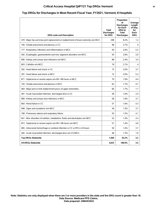# **Top DRGs for Discharges in Most Recent Fiscal Year, FY2021, Vermont, 8 Hospitals**

| <b>DRG code and Description</b>                                                       | Total<br><b>Discharges</b><br>for DRG | Proportion<br>οf<br><b>Discharges</b><br>for Each<br>DRG to<br><b>Total</b><br><b>Discharges</b> | Average<br>Length<br>of Stay<br>for<br>Each<br><b>DRG</b> |
|---------------------------------------------------------------------------------------|---------------------------------------|--------------------------------------------------------------------------------------------------|-----------------------------------------------------------|
| 470 : Major hip and knee joint replacement or reattachment of lower extremity w/o MCC | 298                                   | 8.2%                                                                                             | 1.2                                                       |
| 194 : Simple pneumonia and pleurisy w CC                                              | 98                                    | 2.7%                                                                                             | 4                                                         |
| 177 : Respiratory infections and inflammations w MCC                                  | 94                                    | 2.6%                                                                                             | 5.2                                                       |
| 392 : Esophagitis, gastroenteritis and misc digestive disorders w/o MCC               | 93                                    | 2.6%                                                                                             | 2.6                                                       |
| 690 : Kidney and urinary tract infections w/o MCC                                     | 88                                    | 2.4%                                                                                             | 3.4                                                       |
| 603 : Cellulitis w/o MCC                                                              | 76                                    | 2.1%                                                                                             | 4                                                         |
| 292 : Heart failure and shock w CC                                                    | 73                                    | 2.0%                                                                                             | 3.7                                                       |
| 291 : Heart failure and shock w MCC                                                   | 72                                    | 2.0%                                                                                             | 5.3                                                       |
| 871 : Septicemia or severe sepsis w/o MV >96 hours w MCC                              | 70                                    | 1.9%                                                                                             | 4.4                                                       |
| 193 : Simple pneumonia and pleurisy w MCC                                             | 62                                    | 1.7%                                                                                             | 4.7                                                       |
| 483 : Major joint or limb reattachment procs of upper extremities                     | 60                                    | 1.7%                                                                                             | 1.7                                                       |
| 281 : Acute myocardial infarction, discharged alive w CC                              | 58                                    | 1.6%                                                                                             | 2.4                                                       |
| 689 : Kidney and urinary tract infections w MCC                                       | 58                                    | 1.6%                                                                                             | 3.7                                                       |
| 683 : Renal failure w CC                                                              | 57                                    | 1.6%                                                                                             | 4.3                                                       |
| 948 : Signs and symptoms w/o MCC                                                      | 56                                    | 1.5%                                                                                             | 3.7                                                       |
| 189 : Pulmonary edema and respiratory failure                                         | 55                                    | 1.5%                                                                                             | 4.1                                                       |
| 641 : Misc disorders of nutrition, metabolism, fluids and electrolytes w/o MCC        | 52                                    | 1.4%                                                                                             | 2.4                                                       |
| 872 : Septicemia or severe sepsis w/o MV >96 hours w/o MCC                            | 51                                    | 1.4%                                                                                             | 4.6                                                       |
| 065 : Intracranial hemorrhage or cerebral infarction w CC or tPA in 24 hours          | 50                                    | 1.4%                                                                                             | 3.7                                                       |
| 282 : Acute myocardial infarction, discharged alive w/o CC/MCC                        | 48                                    | 1.3%                                                                                             | 1.6                                                       |
| <b>Top DRGs Statewide</b>                                                             | 1,569                                 | 43.2%                                                                                            | 3.2                                                       |
| All DRGs Statewide                                                                    | 3,633                                 | 100.0%                                                                                           | 3.5                                                       |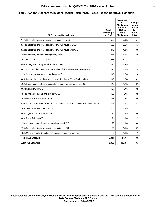## **Critical Access Hospital Q4FY21 Top DRGs Washington 42**

### **Top DRGs for Discharges in Most Recent Fiscal Year, FY2021, Washington, 39 Hospitals**

| <b>DRG code and Description</b>                                                       | Total<br><b>Discharges</b><br>for DRG | Proportion<br>οf<br><b>Discharges</b><br>for Each<br><b>DRG</b> to<br><b>Total</b><br><b>Discharges</b> | Average<br>Length<br>of Stay<br>for<br>Each<br><b>DRG</b> |
|---------------------------------------------------------------------------------------|---------------------------------------|---------------------------------------------------------------------------------------------------------|-----------------------------------------------------------|
| 177: Respiratory infections and inflammations w MCC                                   | 590                                   | 7.3%                                                                                                    | 5.4                                                       |
| 871 : Septicemia or severe sepsis w/o MV >96 hours w MCC                              | 528                                   | 6.6%                                                                                                    | 4.7                                                       |
| 872 : Septicemia or severe sepsis w/o MV >96 hours w/o MCC                            | 345                                   | 4.3%                                                                                                    | 3.8                                                       |
| 189 : Pulmonary edema and respiratory failure                                         | 255                                   | 3.2%                                                                                                    | 3.5                                                       |
| 291 : Heart failure and shock w MCC                                                   | 238                                   | 3.0%                                                                                                    | 4                                                         |
| 690 : Kidney and urinary tract infections w/o MCC                                     | 193                                   | 2.4%                                                                                                    | 3                                                         |
| 641 : Misc disorders of nutrition, metabolism, fluids and electrolytes w/o MCC        | 172                                   | 2.1%                                                                                                    | 2.9                                                       |
| 193 : Simple pneumonia and pleurisy w MCC                                             | 146                                   | 1.8%                                                                                                    | 4                                                         |
| 065 : Intracranial hemorrhage or cerebral infarction w CC or tPA in 24 hours          | 145                                   | 1.8%                                                                                                    | 3.1                                                       |
| 392 : Esophagitis, gastroenteritis and misc digestive disorders w/o MCC               | 140                                   | 1.7%                                                                                                    | 3.1                                                       |
| 603 : Cellulitis w/o MCC                                                              | 137                                   | 1.7%                                                                                                    | 3.5                                                       |
| 194 : Simple pneumonia and pleurisy w CC                                              | 136                                   | 1.7%                                                                                                    | 3.5                                                       |
| 292 : Heart failure and shock w CC                                                    | 136                                   | 1.7%                                                                                                    | 2.9                                                       |
| 470 : Major hip and knee joint replacement or reattachment of lower extremity w/o MCC | 125                                   | 1.6%                                                                                                    | 2.2                                                       |
| 389 : Gastrointestinal obstruction w CC                                               | 102                                   | 1.3%                                                                                                    | 2.7                                                       |
| 948 : Signs and symptoms w/o MCC                                                      | 95                                    | 1.2%                                                                                                    | 3.4                                                       |
| 683 : Renal failure w CC                                                              | 91                                    | 1.1%                                                                                                    | 3                                                         |
| 190 : Chronic obstructive pulmonary disease w MCC                                     | 90                                    | 1.1%                                                                                                    | 3.4                                                       |
| 178 : Respiratory infections and inflammations w CC                                   | 89                                    | 1.1%                                                                                                    | 3.7                                                       |
| 483 : Major joint or limb reattachment procs of upper extremities                     | 88                                    | 1.1%                                                                                                    | 1.1                                                       |
| <b>Top DRGs Statewide</b>                                                             | 3,841                                 | 47.7%                                                                                                   | 3.8                                                       |
| <b>All DRGs Statewide</b>                                                             | 8,060                                 | 100.0%                                                                                                  | 3.7                                                       |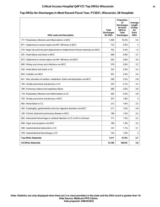## **Critical Access Hospital Q4FY21 Top DRGs Wisconsin 43**

#### **Top DRGs for Discharges in Most Recent Fiscal Year, FY2021, Wisconsin, 58 Hospitals**

| <b>DRG code and Description</b>                                                       | <b>Total</b><br><b>Discharges</b><br>for DRG | Proportion<br>οf<br><b>Discharges</b><br>for Each<br><b>DRG</b> to<br><b>Total</b><br><b>Discharges</b> | Average<br>Length<br>of Stay<br>for<br>Each<br><b>DRG</b> |
|---------------------------------------------------------------------------------------|----------------------------------------------|---------------------------------------------------------------------------------------------------------|-----------------------------------------------------------|
| 177 : Respiratory infections and inflammations w MCC                                  | 1.358                                        | 10.3%                                                                                                   | 5.5                                                       |
| 871 : Septicemia or severe sepsis w/o MV >96 hours w MCC                              | 710                                          | 5.4%                                                                                                    | 4                                                         |
| 470 : Major hip and knee joint replacement or reattachment of lower extremity w/o MCC | 702                                          | 5.3%                                                                                                    | 1.5                                                       |
| 291 : Heart failure and shock w MCC                                                   | 648                                          | 4.9%                                                                                                    | 3.7                                                       |
| 872 : Septicemia or severe sepsis w/o MV >96 hours w/o MCC                            | 505                                          | 3.8%                                                                                                    | 3.6                                                       |
| 690 : Kidney and urinary tract infections w/o MCC                                     | 379                                          | 2.9%                                                                                                    | 3.3                                                       |
| 292 : Heart failure and shock w CC                                                    | 332                                          | 2.5%                                                                                                    | 3.4                                                       |
| 603 : Cellulitis w/o MCC                                                              | 301                                          | 2.3%                                                                                                    | 3.4                                                       |
| 641 : Misc disorders of nutrition, metabolism, fluids and electrolytes w/o MCC        | 299                                          | 2.3%                                                                                                    | 2.8                                                       |
| 194 : Simple pneumonia and pleurisy w CC                                              | 276                                          | 2.1%                                                                                                    | 3.4                                                       |
| 189 : Pulmonary edema and respiratory failure                                         | 269                                          | 2.0%                                                                                                    | 3.6                                                       |
| 178 : Respiratory infections and inflammations w CC                                   | 264                                          | 2.0%                                                                                                    | 3.9                                                       |
| 193 : Simple pneumonia and pleurisy w MCC                                             | 237                                          | 1.8%                                                                                                    | 4                                                         |
| 683 : Renal failure w CC                                                              | 213                                          | 1.6%                                                                                                    | 3.3                                                       |
| 392 : Esophagitis, gastroenteritis and misc digestive disorders w/o MCC               | 211                                          | 1.6%                                                                                                    | 2.8                                                       |
| 190 : Chronic obstructive pulmonary disease w MCC                                     | 198                                          | 1.5%                                                                                                    | 3.4                                                       |
| 065 : Intracranial hemorrhage or cerebral infarction w CC or tPA in 24 hours          | 171                                          | 1.3%                                                                                                    | 3.2                                                       |
| 948 : Signs and symptoms w/o MCC                                                      | 169                                          | 1.3%                                                                                                    | 3.2                                                       |
| 389 : Gastrointestinal obstruction w CC                                               | 141                                          | 1.1%                                                                                                    | 3.1                                                       |
| 378 : Gastrointestinal hemorrhage w CC                                                | 134                                          | 1.0%                                                                                                    | 3                                                         |
| <b>Top DRGs Statewide</b>                                                             | 7,517                                        | 57.0%                                                                                                   | 3.7                                                       |
| <b>All DRGs Statewide</b>                                                             | 13,196                                       | 100.0%                                                                                                  | 3.6                                                       |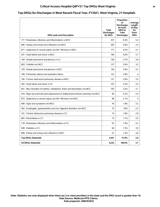## **Critical Access Hospital Q4FY21 Top DRGs West Virginia 44**

# **Top DRGs for Discharges in Most Recent Fiscal Year, FY2021, West Virginia, 21 Hospitals**

| <b>DRG code and Description</b>                                                       | Total<br><b>Discharges</b><br>for DRG | Proportion<br>οf<br><b>Discharges</b><br>for Each<br>DRG to<br>Total<br><b>Discharges</b> | Average<br>Length<br>of Stay<br>for<br>Each<br><b>DRG</b> |
|---------------------------------------------------------------------------------------|---------------------------------------|-------------------------------------------------------------------------------------------|-----------------------------------------------------------|
| 177: Respiratory infections and inflammations w MCC                                   | 351                                   | 8.3%                                                                                      | 5.4                                                       |
| 690 : Kidney and urinary tract infections w/o MCC                                     | 205                                   | 4.9%                                                                                      | 3.4                                                       |
| 871 : Septicemia or severe sepsis w/o MV >96 hours w MCC                              | 177                                   | 4.2%                                                                                      | 4.1                                                       |
| 291 : Heart failure and shock w MCC                                                   | 169                                   | 4.0%                                                                                      | 3.7                                                       |
| 194 : Simple pneumonia and pleurisy w CC                                              | 156                                   | 3.7%                                                                                      | 3.8                                                       |
| 603 : Cellulitis w/o MCC                                                              | 127                                   | 3.0%                                                                                      | 3.3                                                       |
| 193 : Simple pneumonia and pleurisy w MCC                                             | 126                                   | 3.0%                                                                                      | 4.2                                                       |
| 189 : Pulmonary edema and respiratory failure                                         | 122                                   | 2.9%                                                                                      | 4                                                         |
| 190 : Chronic obstructive pulmonary disease w MCC                                     | 121                                   | 2.9%                                                                                      | 3.5                                                       |
| 292 : Heart failure and shock w CC                                                    | 107                                   | 2.5%                                                                                      | 3.4                                                       |
| 641 : Misc disorders of nutrition, metabolism, fluids and electrolytes w/o MCC        | 105                                   | 2.5%                                                                                      | 3.1                                                       |
| 470 : Major hip and knee joint replacement or reattachment of lower extremity w/o MCC | 94                                    | 2.2%                                                                                      | 2.9                                                       |
| 872 : Septicemia or severe sepsis w/o MV >96 hours w/o MCC                            | 89                                    | 2.1%                                                                                      | 4                                                         |
| 948 : Signs and symptoms w/o MCC                                                      | 78                                    | 1.9%                                                                                      | 3.2                                                       |
| 392 : Esophagitis, gastroenteritis and misc digestive disorders w/o MCC               | 75                                    | 1.8%                                                                                      | 2.5                                                       |
| 191 : Chronic obstructive pulmonary disease w CC                                      | 74                                    | 1.8%                                                                                      | 2.8                                                       |
| 683 : Renal failure w CC                                                              | 73                                    | 1.7%                                                                                      | 3.5                                                       |
| 178 : Respiratory infections and inflammations w CC                                   | 67                                    | 1.6%                                                                                      | 4.2                                                       |
| 638 : Diabetes w CC                                                                   | 64                                    | 1.5%                                                                                      | 3.6                                                       |
| 689 : Kidney and urinary tract infections w MCC                                       | 61                                    | 1.4%                                                                                      | 4.6                                                       |
| <b>Top DRGs Statewide</b>                                                             | 2,441                                 | 57.8%                                                                                     | 3.9                                                       |
| <b>All DRGs Statewide</b>                                                             | 4,225                                 | 100.0%                                                                                    | 3.7                                                       |